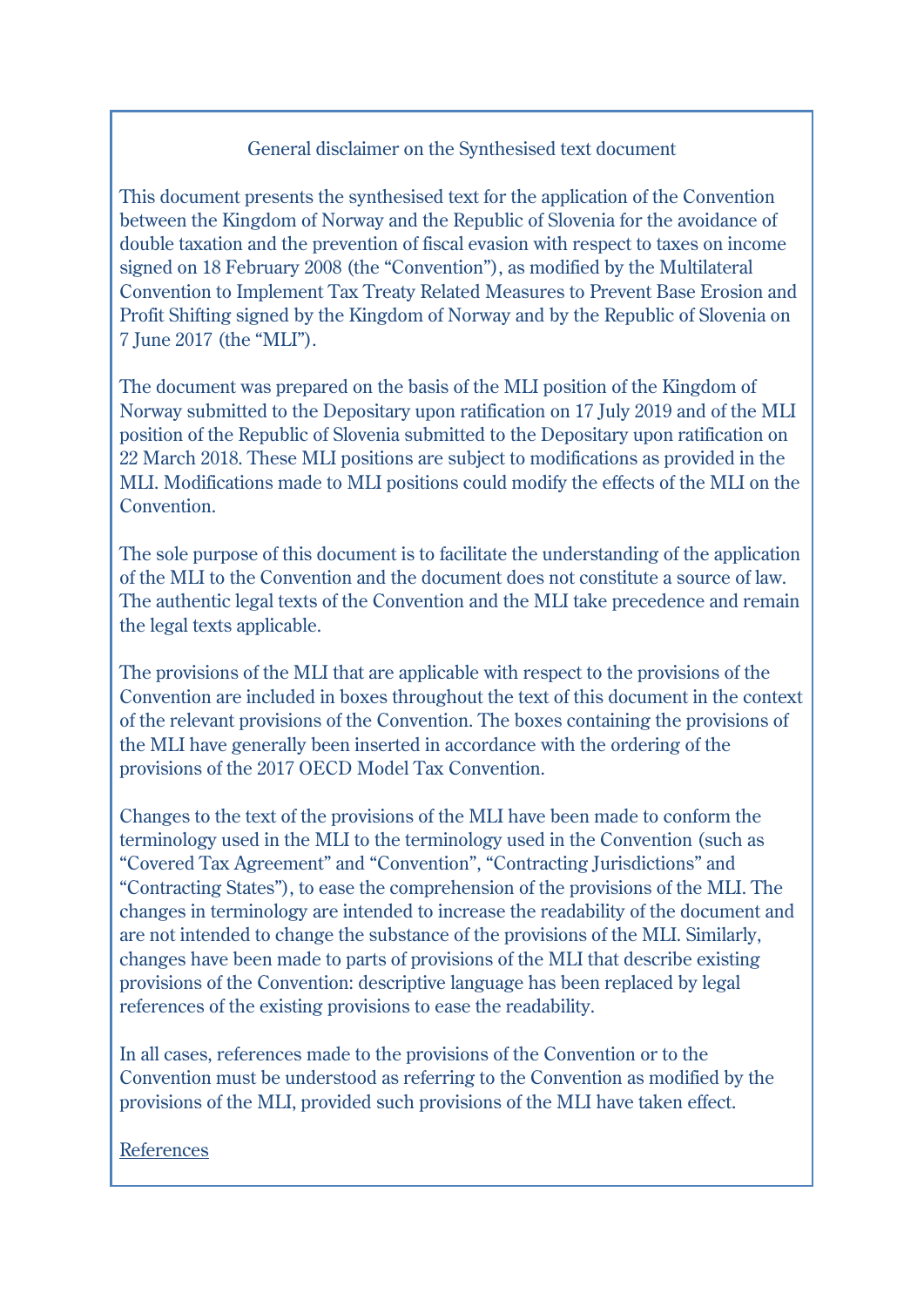#### General disclaimer on the Synthesised text document

This document presents the synthesised text for the application of the Convention between the Kingdom of Norway and the Republic of Slovenia for the avoidance of double taxation and the prevention of fiscal evasion with respect to taxes on income signed on 18 February 2008 (the "Convention"), as modified by the Multilateral Convention to Implement Tax Treaty Related Measures to Prevent Base Erosion and Profit Shifting signed by the Kingdom of Norway and by the Republic of Slovenia on 7 June 2017 (the "MLI").

The document was prepared on the basis of the MLI position of the Kingdom of Norway submitted to the Depositary upon ratification on 17 July 2019 and of the MLI position of the Republic of Slovenia submitted to the Depositary upon ratification on 22 March 2018. These MLI positions are subject to modifications as provided in the MLI. Modifications made to MLI positions could modify the effects of the MLI on the Convention.

The sole purpose of this document is to facilitate the understanding of the application of the MLI to the Convention and the document does not constitute a source of law. The authentic legal texts of the Convention and the MLI take precedence and remain the legal texts applicable.

The provisions of the MLI that are applicable with respect to the provisions of the Convention are included in boxes throughout the text of this document in the context of the relevant provisions of the Convention. The boxes containing the provisions of the MLI have generally been inserted in accordance with the ordering of the provisions of the 2017 OECD Model Tax Convention.

Changes to the text of the provisions of the MLI have been made to conform the terminology used in the MLI to the terminology used in the Convention (such as "Covered Tax Agreement" and "Convention", "Contracting Jurisdictions" and "Contracting States"), to ease the comprehension of the provisions of the MLI. The changes in terminology are intended to increase the readability of the document and are not intended to change the substance of the provisions of the MLI. Similarly, changes have been made to parts of provisions of the MLI that describe existing provisions of the Convention: descriptive language has been replaced by legal references of the existing provisions to ease the readability.

In all cases, references made to the provisions of the Convention or to the Convention must be understood as referring to the Convention as modified by the provisions of the MLI, provided such provisions of the MLI have taken effect.

References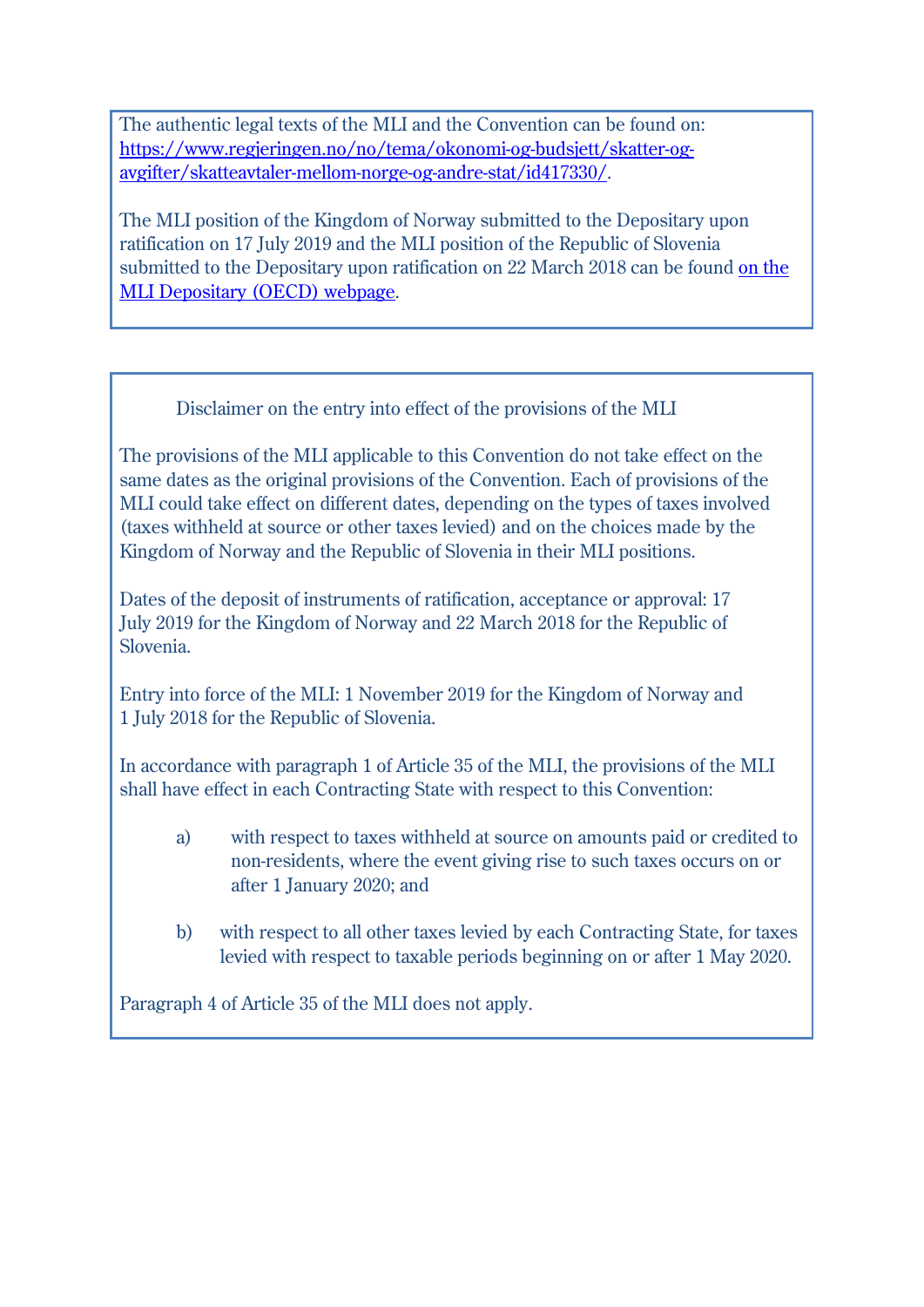The authentic legal texts of the MLI and the Convention can be found on: [https://www.regjeringen.no/no/tema/okonomi-og-budsjett/skatter-og](https://www.regjeringen.no/no/tema/okonomi-og-budsjett/skatter-og-avgifter/skatteavtaler-mellom-norge-og-andre-stat/id417330/)[avgifter/skatteavtaler-mellom-norge-og-andre-stat/id417330/.](https://www.regjeringen.no/no/tema/okonomi-og-budsjett/skatter-og-avgifter/skatteavtaler-mellom-norge-og-andre-stat/id417330/)

The MLI position of the Kingdom of Norway submitted to the Depositary upon ratification on 17 July 2019 and the MLI position of the Republic of Slovenia submitted to the Depositary upon ratification on 22 March 2018 can be found [on the](http://www.oecd.org/tax/treaties/beps-mli-signatories-and-parties.pdf)  [MLI Depositary \(OECD\) webpage.](http://www.oecd.org/tax/treaties/beps-mli-signatories-and-parties.pdf)

## Disclaimer on the entry into effect of the provisions of the MLI

The provisions of the MLI applicable to this Convention do not take effect on the same dates as the original provisions of the Convention. Each of provisions of the MLI could take effect on different dates, depending on the types of taxes involved (taxes withheld at source or other taxes levied) and on the choices made by the Kingdom of Norway and the Republic of Slovenia in their MLI positions.

Dates of the deposit of instruments of ratification, acceptance or approval: 17 July 2019 for the Kingdom of Norway and 22 March 2018 for the Republic of Slovenia.

Entry into force of the MLI: 1 November 2019 for the Kingdom of Norway and 1 July 2018 for the Republic of Slovenia.

In accordance with paragraph 1 of Article 35 of the MLI, the provisions of the MLI shall have effect in each Contracting State with respect to this Convention:

- a) with respect to taxes withheld at source on amounts paid or credited to non-residents, where the event giving rise to such taxes occurs on or after 1 January 2020; and
- b) with respect to all other taxes levied by each Contracting State, for taxes levied with respect to taxable periods beginning on or after 1 May 2020.

Paragraph 4 of Article 35 of the MLI does not apply.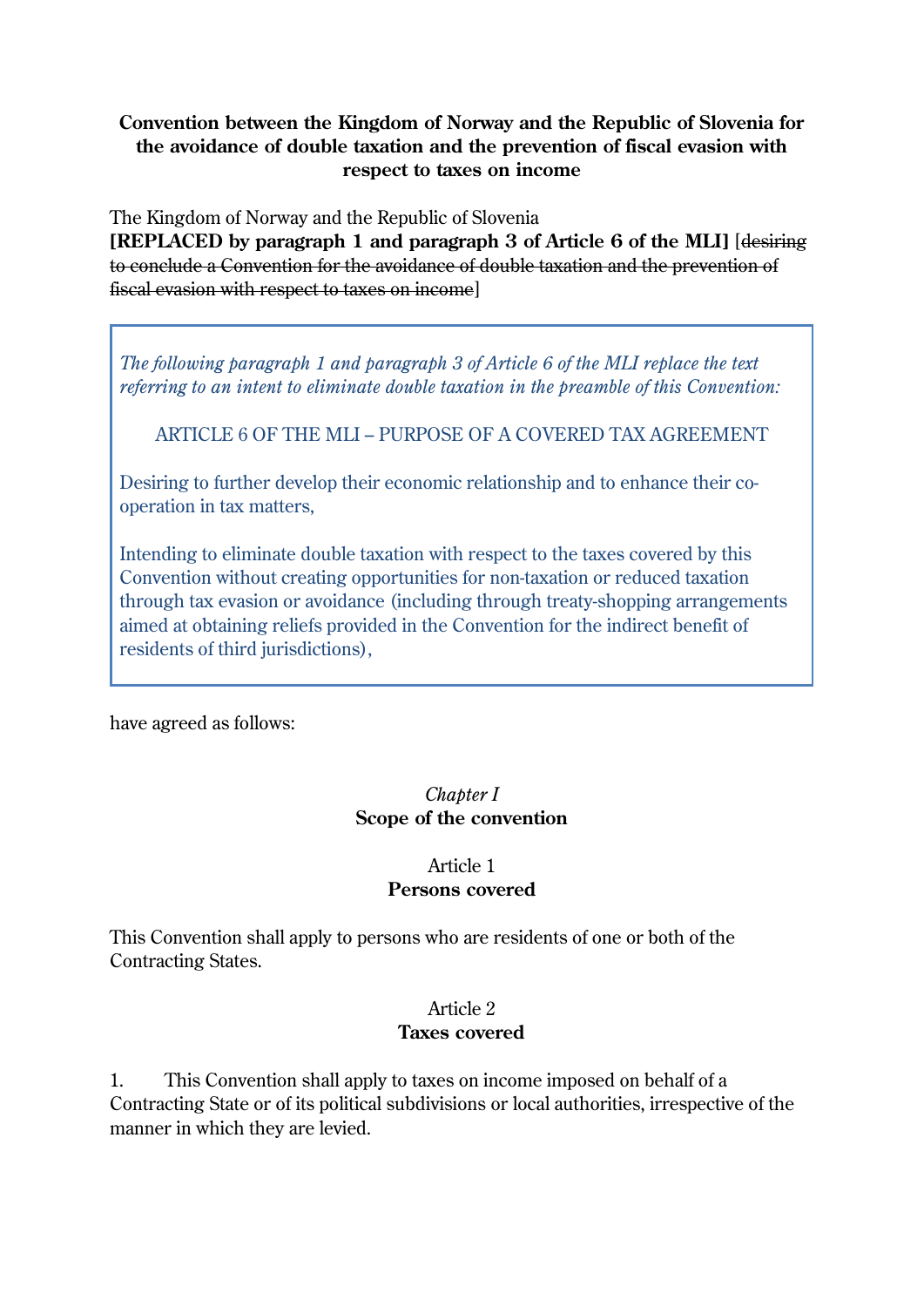#### **Convention between the Kingdom of Norway and the Republic of Slovenia for the avoidance of double taxation and the prevention of fiscal evasion with respect to taxes on income**

The Kingdom of Norway and the Republic of Slovenia

**[REPLACED by paragraph 1 and paragraph 3 of Article 6 of the MLI]** [desiring to conclude a Convention for the avoidance of double taxation and the prevention of fiscal evasion with respect to taxes on income]

*The following paragraph 1 and paragraph 3 of Article 6 of the MLI replace the text referring to an intent to eliminate double taxation in the preamble of this Convention:*

ARTICLE 6 OF THE MLI – PURPOSE OF A COVERED TAX AGREEMENT

Desiring to further develop their economic relationship and to enhance their cooperation in tax matters,

Intending to eliminate double taxation with respect to the taxes covered by this Convention without creating opportunities for non-taxation or reduced taxation through tax evasion or avoidance (including through treaty-shopping arrangements aimed at obtaining reliefs provided in the Convention for the indirect benefit of residents of third jurisdictions),

have agreed as follows:

## *Chapter I* **Scope of the convention**

#### Article 1 **Persons covered**

This Convention shall apply to persons who are residents of one or both of the Contracting States.

#### Article 2 **Taxes covered**

1. This Convention shall apply to taxes on income imposed on behalf of a Contracting State or of its political subdivisions or local authorities, irrespective of the manner in which they are levied.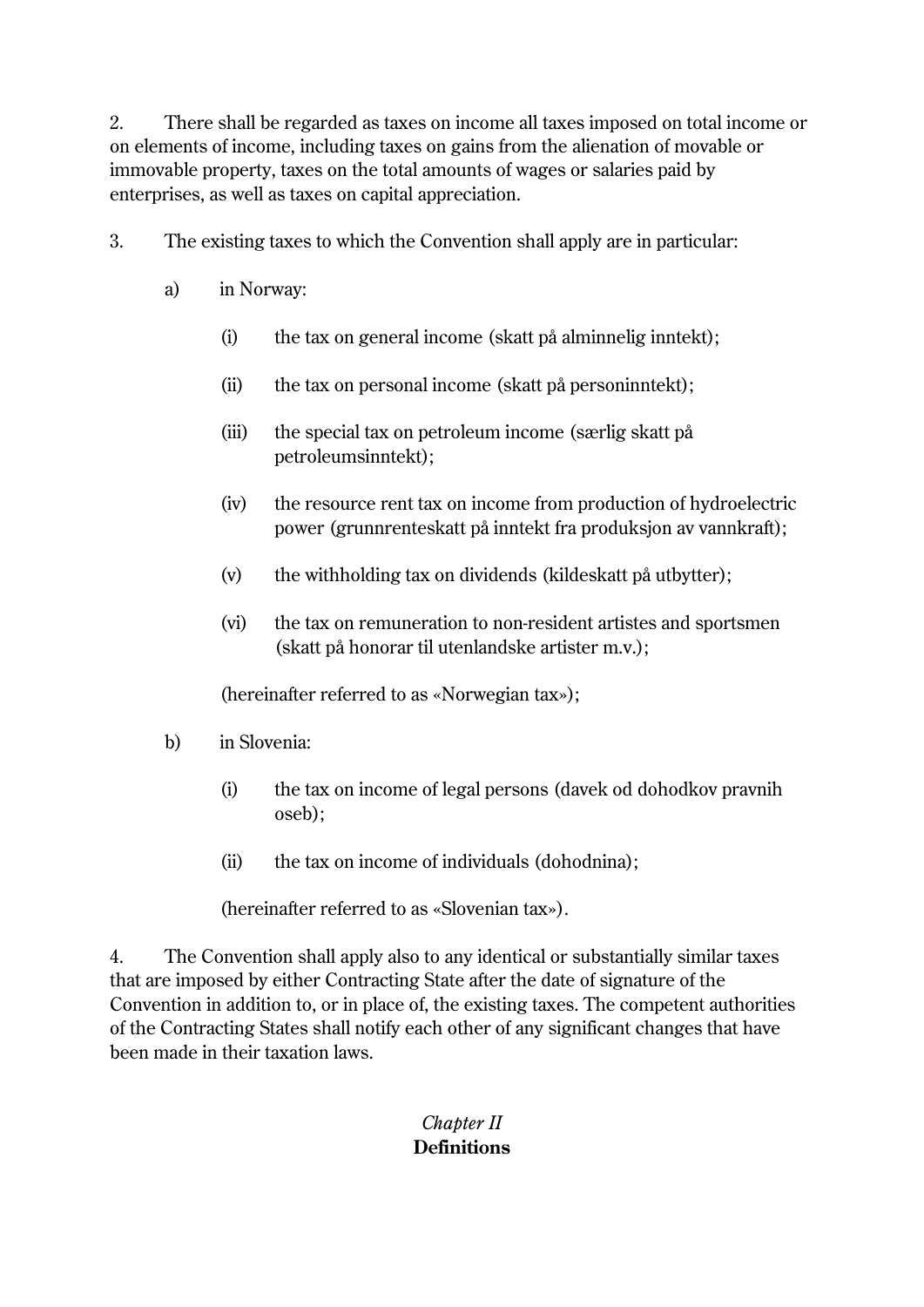2. There shall be regarded as taxes on income all taxes imposed on total income or on elements of income, including taxes on gains from the alienation of movable or immovable property, taxes on the total amounts of wages or salaries paid by enterprises, as well as taxes on capital appreciation.

- 3. The existing taxes to which the Convention shall apply are in particular:
	- a) in Norway:
		- (i) the tax on general income (skatt på alminnelig inntekt);
		- (ii) the tax on personal income (skatt på personinntekt);
		- (iii) the special tax on petroleum income (særlig skatt på petroleumsinntekt);
		- (iv) the resource rent tax on income from production of hydroelectric power (grunnrenteskatt på inntekt fra produksjon av vannkraft);
		- (v) the withholding tax on dividends (kildeskatt på utbytter);
		- (vi) the tax on remuneration to non-resident artistes and sportsmen (skatt på honorar til utenlandske artister m.v.);

(hereinafter referred to as «Norwegian tax»);

- b) in Slovenia:
	- (i) the tax on income of legal persons (davek od dohodkov pravnih oseb);
	- (ii) the tax on income of individuals (dohodnina);

(hereinafter referred to as «Slovenian tax»).

4. The Convention shall apply also to any identical or substantially similar taxes that are imposed by either Contracting State after the date of signature of the Convention in addition to, or in place of, the existing taxes. The competent authorities of the Contracting States shall notify each other of any significant changes that have been made in their taxation laws.

## *Chapter II* **Definitions**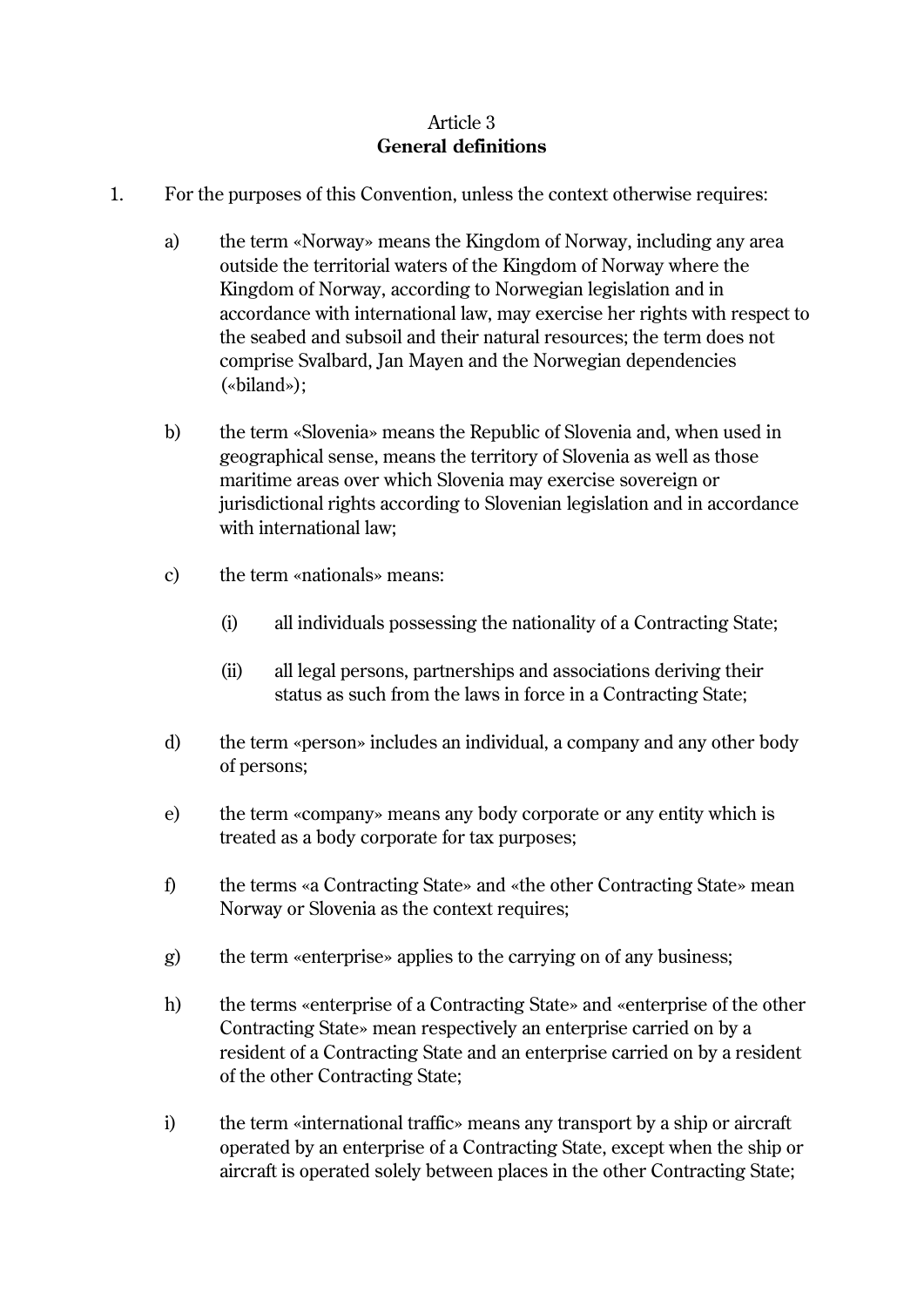#### Article 3 **General definitions**

- 1. For the purposes of this Convention, unless the context otherwise requires:
	- a) the term «Norway» means the Kingdom of Norway, including any area outside the territorial waters of the Kingdom of Norway where the Kingdom of Norway, according to Norwegian legislation and in accordance with international law, may exercise her rights with respect to the seabed and subsoil and their natural resources; the term does not comprise Svalbard, Jan Mayen and the Norwegian dependencies («biland»);
	- b) the term «Slovenia» means the Republic of Slovenia and, when used in geographical sense, means the territory of Slovenia as well as those maritime areas over which Slovenia may exercise sovereign or jurisdictional rights according to Slovenian legislation and in accordance with international law;
	- c) the term «nationals» means:
		- (i) all individuals possessing the nationality of a Contracting State;
		- (ii) all legal persons, partnerships and associations deriving their status as such from the laws in force in a Contracting State;
	- d) the term «person» includes an individual, a company and any other body of persons;
	- e) the term «company» means any body corporate or any entity which is treated as a body corporate for tax purposes;
	- f) the terms «a Contracting State» and «the other Contracting State» mean Norway or Slovenia as the context requires;
	- g) the term «enterprise» applies to the carrying on of any business;
	- h) the terms «enterprise of a Contracting State» and «enterprise of the other Contracting State» mean respectively an enterprise carried on by a resident of a Contracting State and an enterprise carried on by a resident of the other Contracting State;
	- i) the term «international traffic» means any transport by a ship or aircraft operated by an enterprise of a Contracting State, except when the ship or aircraft is operated solely between places in the other Contracting State;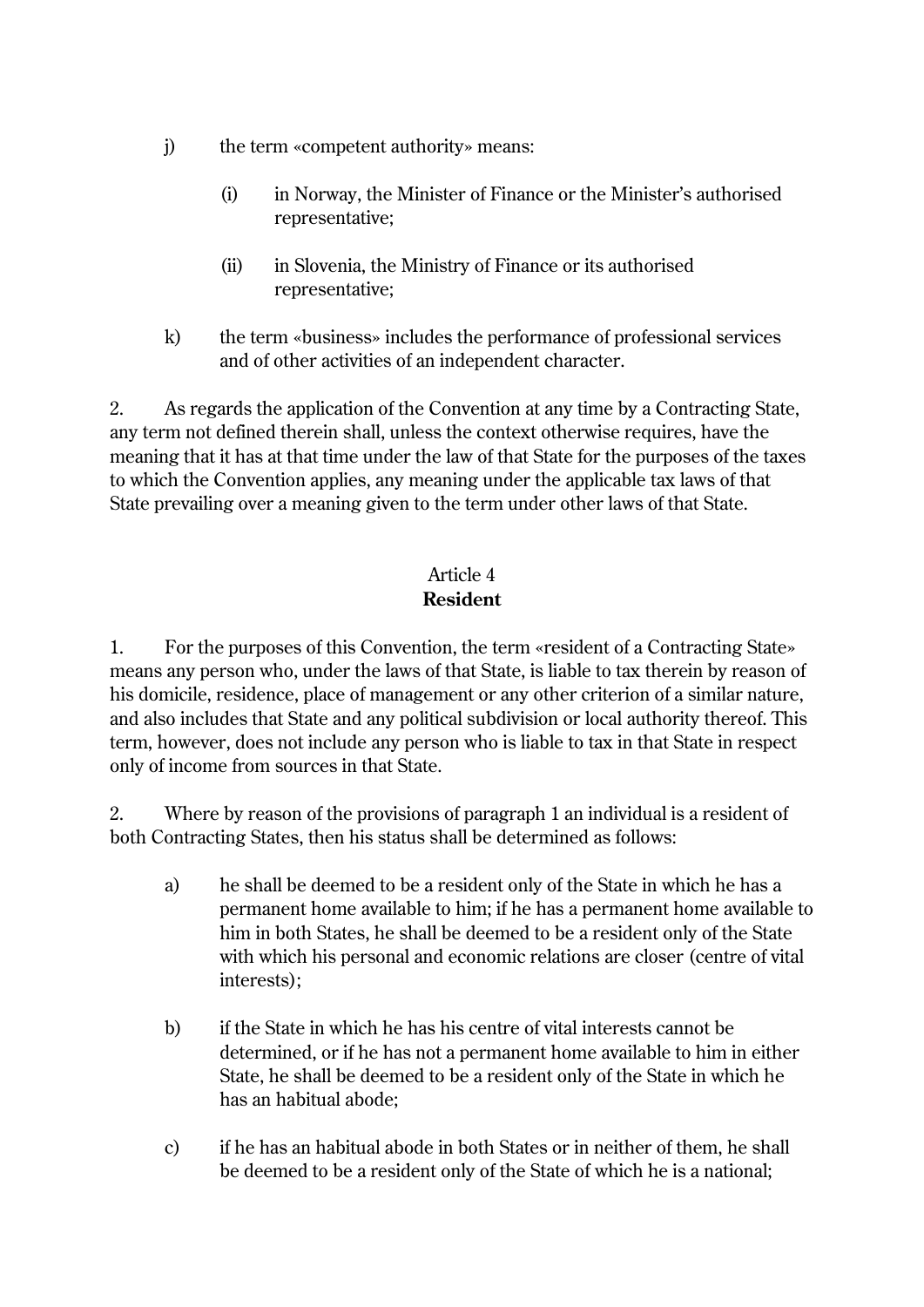- j) the term «competent authority» means:
	- (i) in Norway, the Minister of Finance or the Minister's authorised representative;
	- (ii) in Slovenia, the Ministry of Finance or its authorised representative;
- k) the term «business» includes the performance of professional services and of other activities of an independent character.

2. As regards the application of the Convention at any time by a Contracting State, any term not defined therein shall, unless the context otherwise requires, have the meaning that it has at that time under the law of that State for the purposes of the taxes to which the Convention applies, any meaning under the applicable tax laws of that State prevailing over a meaning given to the term under other laws of that State.

# Article 4 **Resident**

1. For the purposes of this Convention, the term «resident of a Contracting State» means any person who, under the laws of that State, is liable to tax therein by reason of his domicile, residence, place of management or any other criterion of a similar nature, and also includes that State and any political subdivision or local authority thereof. This term, however, does not include any person who is liable to tax in that State in respect only of income from sources in that State.

2. Where by reason of the provisions of paragraph 1 an individual is a resident of both Contracting States, then his status shall be determined as follows:

- a) he shall be deemed to be a resident only of the State in which he has a permanent home available to him; if he has a permanent home available to him in both States, he shall be deemed to be a resident only of the State with which his personal and economic relations are closer (centre of vital interests);
- b) if the State in which he has his centre of vital interests cannot be determined, or if he has not a permanent home available to him in either State, he shall be deemed to be a resident only of the State in which he has an habitual abode;
- c) if he has an habitual abode in both States or in neither of them, he shall be deemed to be a resident only of the State of which he is a national;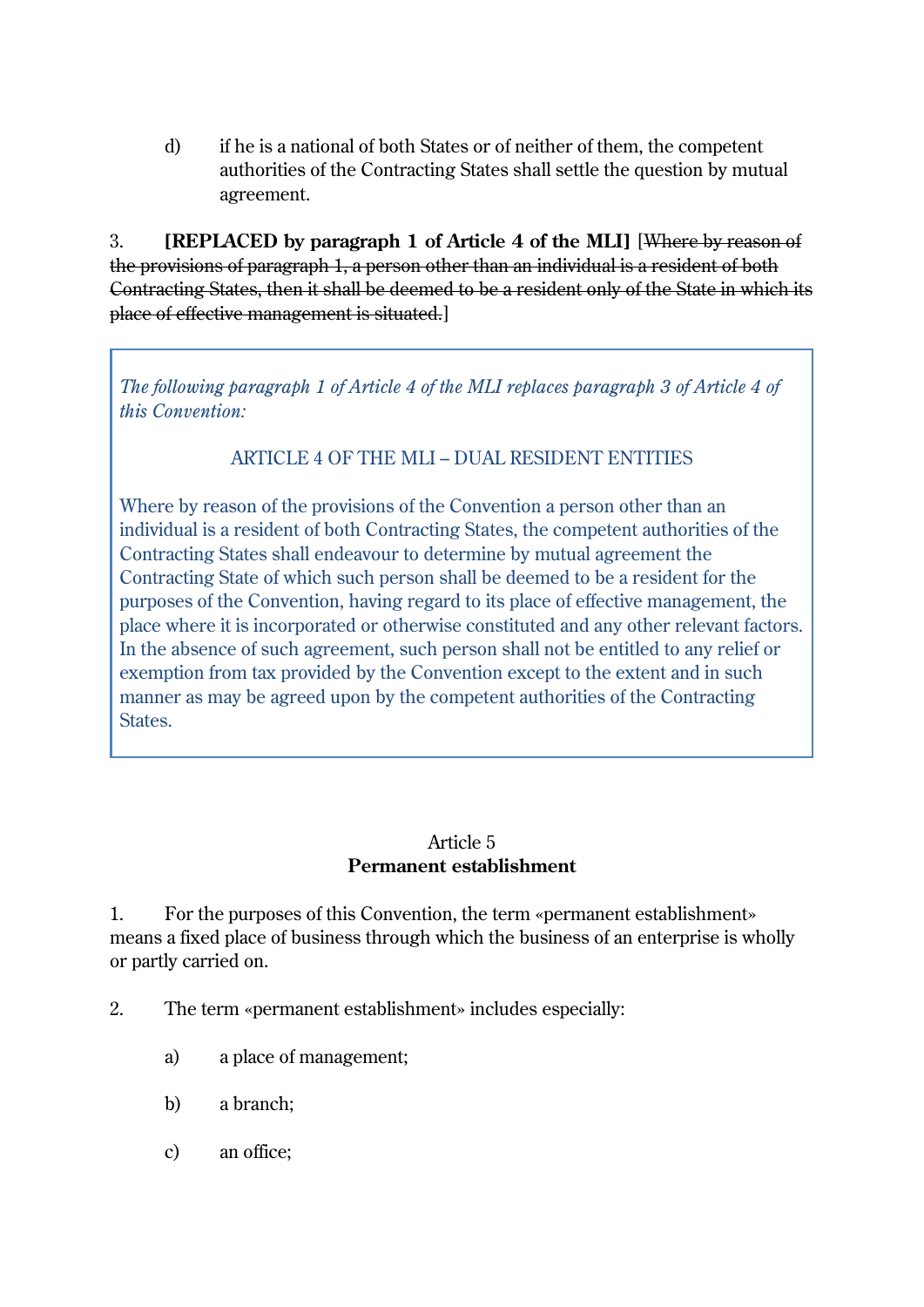d) if he is a national of both States or of neither of them, the competent authorities of the Contracting States shall settle the question by mutual agreement.

3. **[REPLACED by paragraph 1 of Article 4 of the MLI]** [Where by reason of the provisions of paragraph 1, a person other than an individual is a resident of both Contracting States, then it shall be deemed to be a resident only of the State in which its place of effective management is situated.]

*The following paragraph 1 of Article 4 of the MLI replaces paragraph 3 of Article 4 of this Convention:*

# ARTICLE 4 OF THE MLI – DUAL RESIDENT ENTITIES

Where by reason of the provisions of the Convention a person other than an individual is a resident of both Contracting States, the competent authorities of the Contracting States shall endeavour to determine by mutual agreement the Contracting State of which such person shall be deemed to be a resident for the purposes of the Convention, having regard to its place of effective management, the place where it is incorporated or otherwise constituted and any other relevant factors. In the absence of such agreement, such person shall not be entitled to any relief or exemption from tax provided by the Convention except to the extent and in such manner as may be agreed upon by the competent authorities of the Contracting States.

#### Article 5 **Permanent establishment**

1. For the purposes of this Convention, the term «permanent establishment» means a fixed place of business through which the business of an enterprise is wholly or partly carried on.

- 2. The term «permanent establishment» includes especially:
	- a) a place of management;
	- b) a branch;
	- c) an office;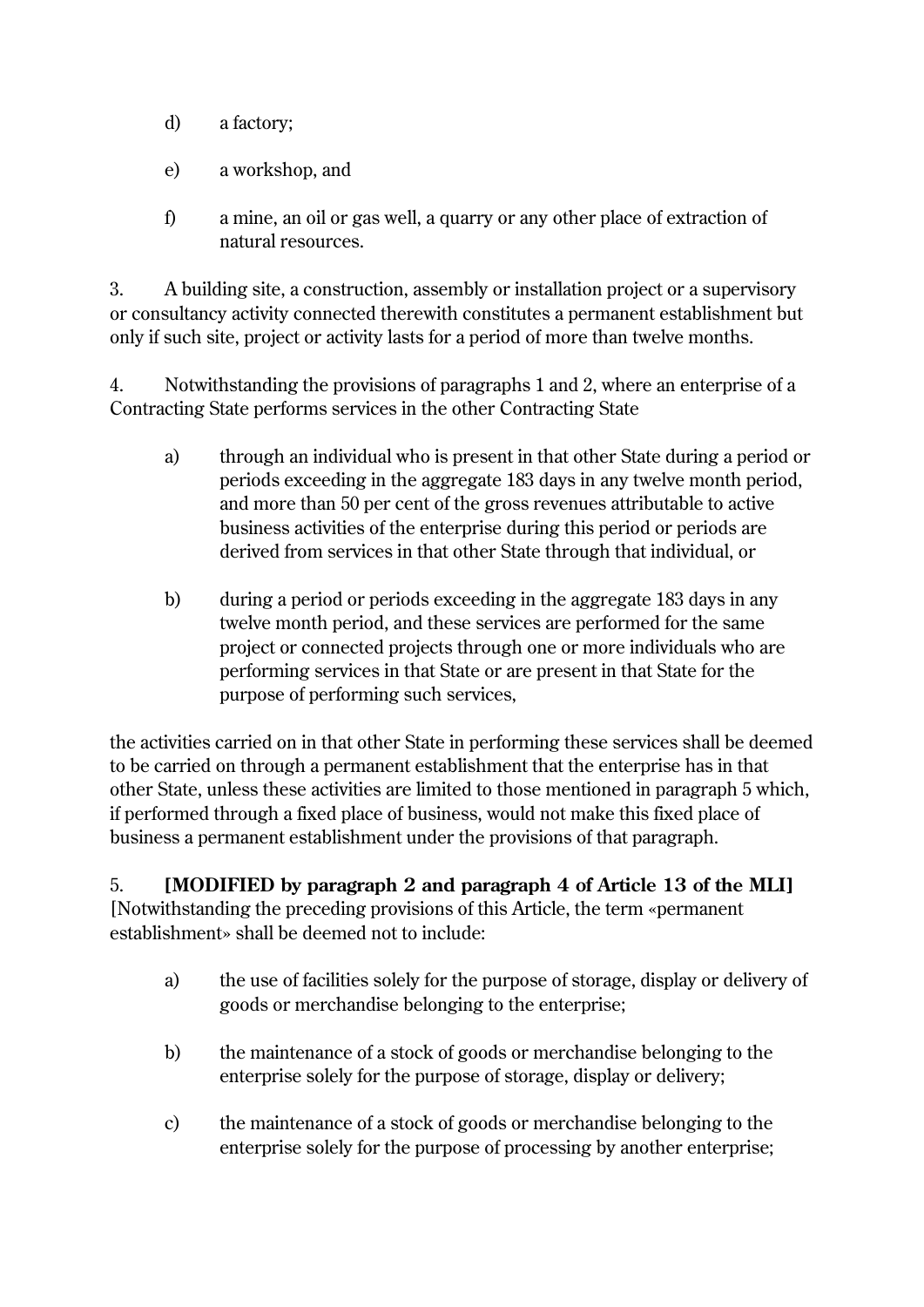- d) a factory;
- e) a workshop, and
- f) a mine, an oil or gas well, a quarry or any other place of extraction of natural resources.

3. A building site, a construction, assembly or installation project or a supervisory or consultancy activity connected therewith constitutes a permanent establishment but only if such site, project or activity lasts for a period of more than twelve months.

4. Notwithstanding the provisions of paragraphs 1 and 2, where an enterprise of a Contracting State performs services in the other Contracting State

- a) through an individual who is present in that other State during a period or periods exceeding in the aggregate 183 days in any twelve month period, and more than 50 per cent of the gross revenues attributable to active business activities of the enterprise during this period or periods are derived from services in that other State through that individual, or
- b) during a period or periods exceeding in the aggregate 183 days in any twelve month period, and these services are performed for the same project or connected projects through one or more individuals who are performing services in that State or are present in that State for the purpose of performing such services,

the activities carried on in that other State in performing these services shall be deemed to be carried on through a permanent establishment that the enterprise has in that other State, unless these activities are limited to those mentioned in paragraph 5 which, if performed through a fixed place of business, would not make this fixed place of business a permanent establishment under the provisions of that paragraph.

5. **[MODIFIED by paragraph 2 and paragraph 4 of Article 13 of the MLI]**  [Notwithstanding the preceding provisions of this Article, the term «permanent establishment» shall be deemed not to include:

- a) the use of facilities solely for the purpose of storage, display or delivery of goods or merchandise belonging to the enterprise;
- b) the maintenance of a stock of goods or merchandise belonging to the enterprise solely for the purpose of storage, display or delivery;
- c) the maintenance of a stock of goods or merchandise belonging to the enterprise solely for the purpose of processing by another enterprise;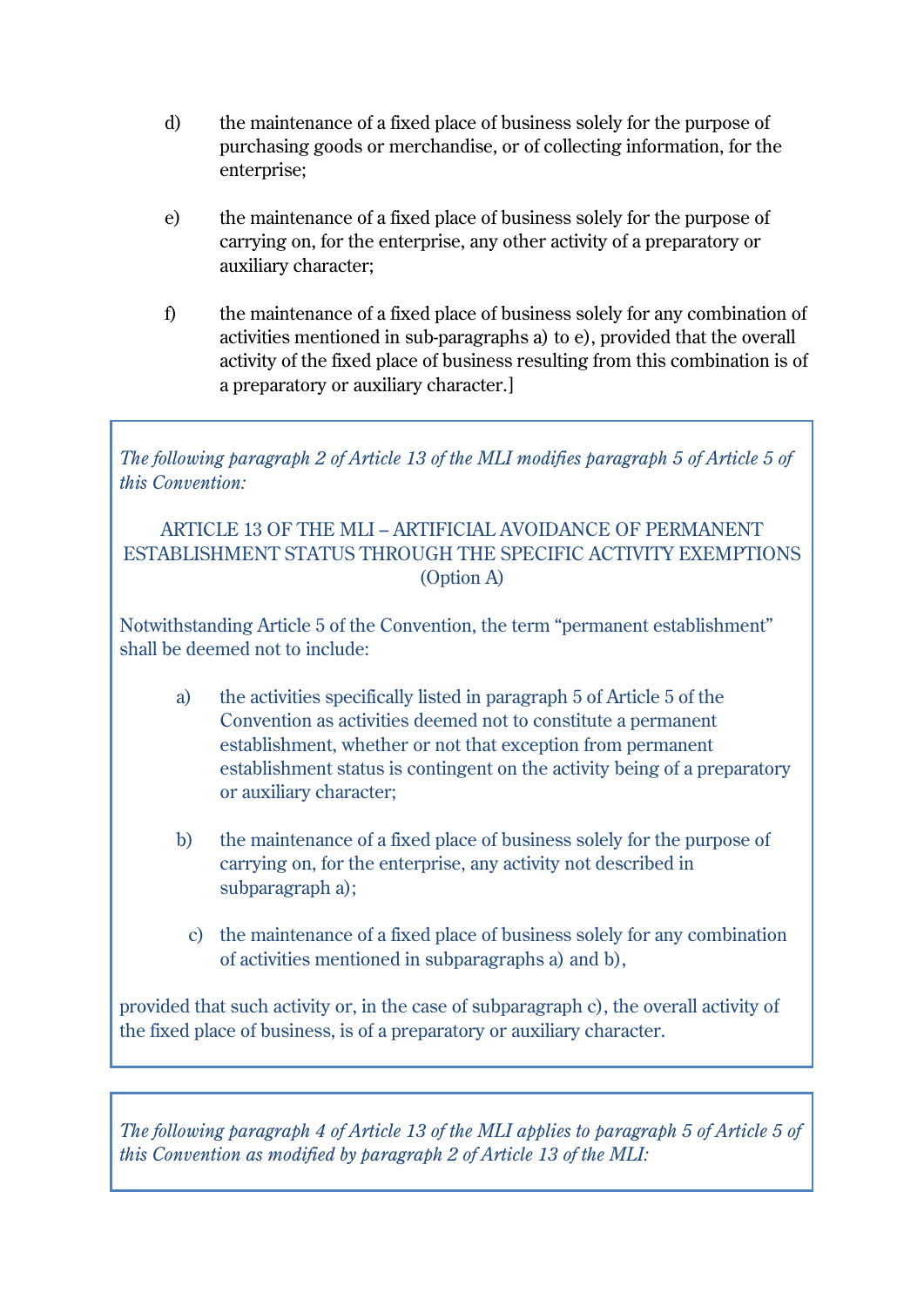- d) the maintenance of a fixed place of business solely for the purpose of purchasing goods or merchandise, or of collecting information, for the enterprise;
- e) the maintenance of a fixed place of business solely for the purpose of carrying on, for the enterprise, any other activity of a preparatory or auxiliary character;
- f) the maintenance of a fixed place of business solely for any combination of activities mentioned in sub-paragraphs a) to e), provided that the overall activity of the fixed place of business resulting from this combination is of a preparatory or auxiliary character.]

*The following paragraph 2 of Article 13 of the MLI modifies paragraph 5 of Article 5 of this Convention:* ARTICLE 13 OF THE MLI – ARTIFICIAL AVOIDANCE OF PERMANENT ESTABLISHMENT STATUS THROUGH THE SPECIFIC ACTIVITY EXEMPTIONS (Option A) Notwithstanding Article 5 of the Convention, the term "permanent establishment" shall be deemed not to include: a) the activities specifically listed in paragraph 5 of Article 5 of the Convention as activities deemed not to constitute a permanent establishment, whether or not that exception from permanent establishment status is contingent on the activity being of a preparatory or auxiliary character; b) the maintenance of a fixed place of business solely for the purpose of carrying on, for the enterprise, any activity not described in subparagraph a); c) the maintenance of a fixed place of business solely for any combination of activities mentioned in subparagraphs a) and b), provided that such activity or, in the case of subparagraph c), the overall activity of the fixed place of business, is of a preparatory or auxiliary character.

*The following paragraph 4 of Article 13 of the MLI applies to paragraph 5 of Article 5 of this Convention as modified by paragraph 2 of Article 13 of the MLI:*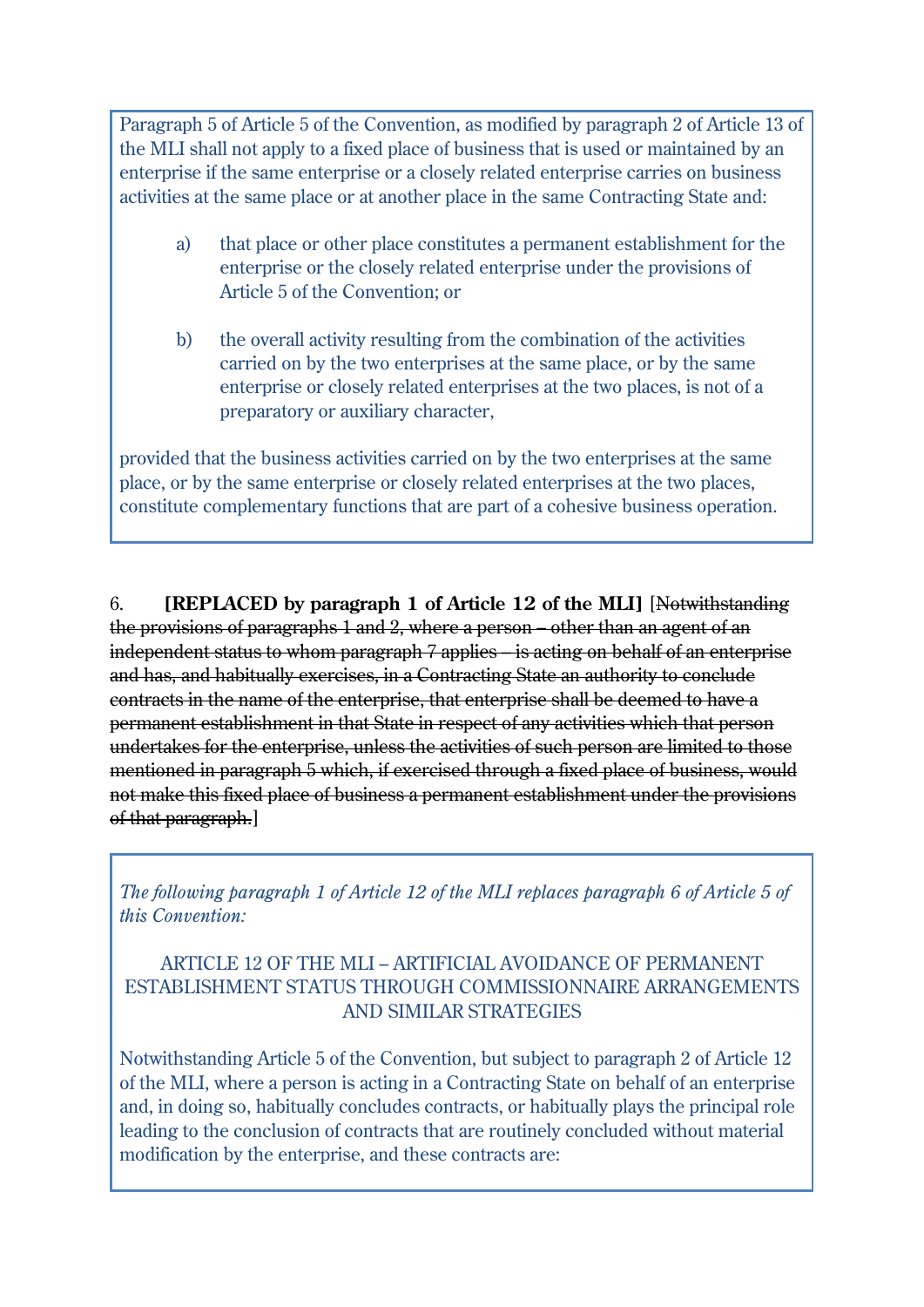Paragraph 5 of Article 5 of the Convention, as modified by paragraph 2 of Article 13 of the MLI shall not apply to a fixed place of business that is used or maintained by an enterprise if the same enterprise or a closely related enterprise carries on business activities at the same place or at another place in the same Contracting State and:

- a) that place or other place constitutes a permanent establishment for the enterprise or the closely related enterprise under the provisions of Article 5 of the Convention; or
- b) the overall activity resulting from the combination of the activities carried on by the two enterprises at the same place, or by the same enterprise or closely related enterprises at the two places, is not of a preparatory or auxiliary character,

provided that the business activities carried on by the two enterprises at the same place, or by the same enterprise or closely related enterprises at the two places, constitute complementary functions that are part of a cohesive business operation.

6. **[REPLACED by paragraph 1 of Article 12 of the MLI]** [Notwithstanding the provisions of paragraphs 1 and 2, where a person – other than an agent of an independent status to whom paragraph 7 applies – is acting on behalf of an enterprise and has, and habitually exercises, in a Contracting State an authority to conclude contracts in the name of the enterprise, that enterprise shall be deemed to have a permanent establishment in that State in respect of any activities which that person undertakes for the enterprise, unless the activities of such person are limited to those mentioned in paragraph 5 which, if exercised through a fixed place of business, would not make this fixed place of business a permanent establishment under the provisions of that paragraph.]

*The following paragraph 1 of Article 12 of the MLI replaces paragraph 6 of Article 5 of this Convention:*

## ARTICLE 12 OF THE MLI – ARTIFICIAL AVOIDANCE OF PERMANENT ESTABLISHMENT STATUS THROUGH COMMISSIONNAIRE ARRANGEMENTS AND SIMILAR STRATEGIES

Notwithstanding Article 5 of the Convention, but subject to paragraph 2 of Article 12 of the MLI, where a person is acting in a Contracting State on behalf of an enterprise and, in doing so, habitually concludes contracts, or habitually plays the principal role leading to the conclusion of contracts that are routinely concluded without material modification by the enterprise, and these contracts are: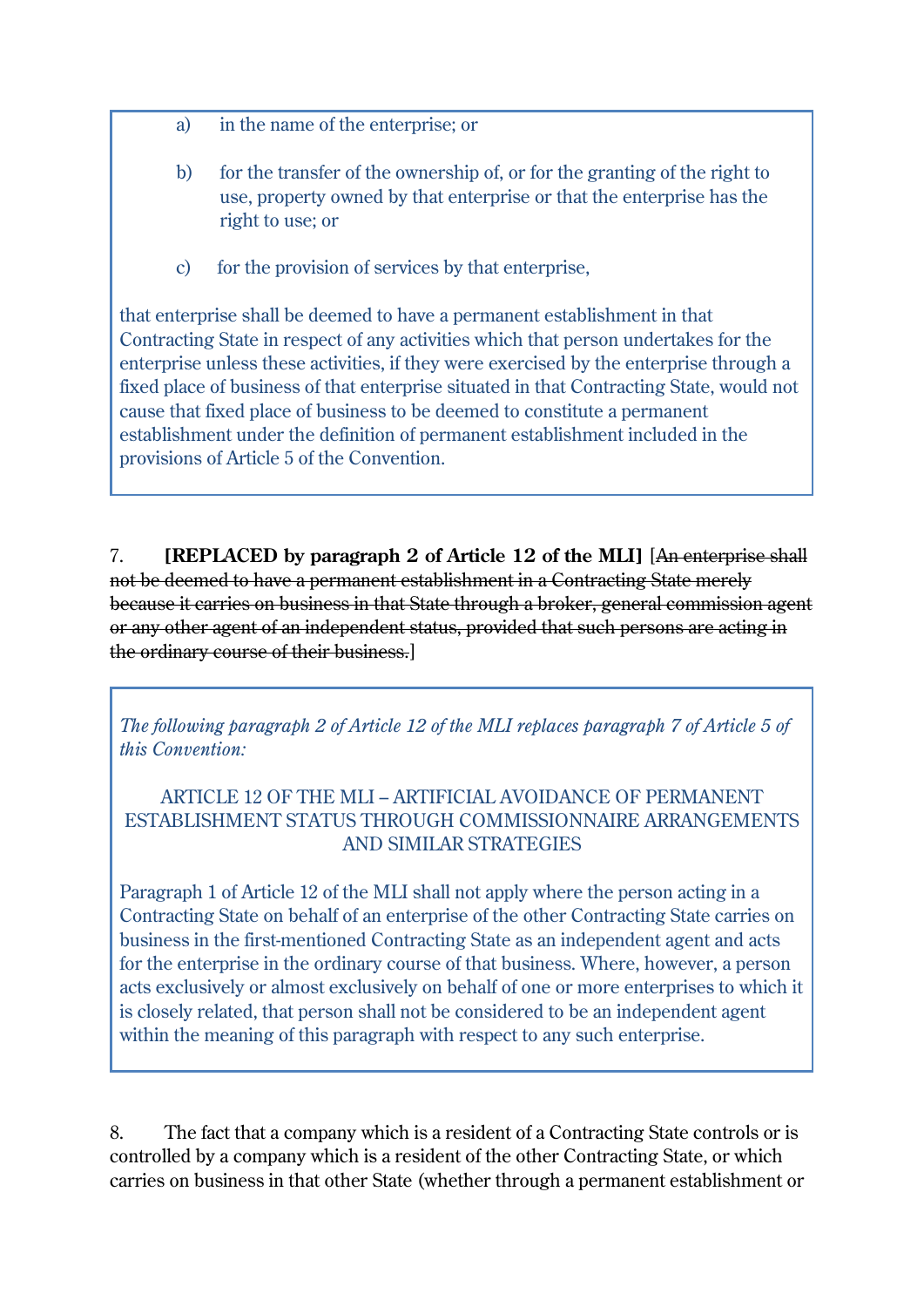- a) in the name of the enterprise; or
- b) for the transfer of the ownership of, or for the granting of the right to use, property owned by that enterprise or that the enterprise has the right to use; or
- c) for the provision of services by that enterprise,

that enterprise shall be deemed to have a permanent establishment in that Contracting State in respect of any activities which that person undertakes for the enterprise unless these activities, if they were exercised by the enterprise through a fixed place of business of that enterprise situated in that Contracting State, would not cause that fixed place of business to be deemed to constitute a permanent establishment under the definition of permanent establishment included in the provisions of Article 5 of the Convention.

7. **[REPLACED by paragraph 2 of Article 12 of the MLI]** [An enterprise shall not be deemed to have a permanent establishment in a Contracting State merely because it carries on business in that State through a broker, general commission agent or any other agent of an independent status, provided that such persons are acting in the ordinary course of their business.]

*The following paragraph 2 of Article 12 of the MLI replaces paragraph 7 of Article 5 of this Convention:*

## ARTICLE 12 OF THE MLI – ARTIFICIAL AVOIDANCE OF PERMANENT ESTABLISHMENT STATUS THROUGH COMMISSIONNAIRE ARRANGEMENTS AND SIMILAR STRATEGIES

Paragraph 1 of Article 12 of the MLI shall not apply where the person acting in a Contracting State on behalf of an enterprise of the other Contracting State carries on business in the first-mentioned Contracting State as an independent agent and acts for the enterprise in the ordinary course of that business. Where, however, a person acts exclusively or almost exclusively on behalf of one or more enterprises to which it is closely related, that person shall not be considered to be an independent agent within the meaning of this paragraph with respect to any such enterprise.

8. The fact that a company which is a resident of a Contracting State controls or is controlled by a company which is a resident of the other Contracting State, or which carries on business in that other State (whether through a permanent establishment or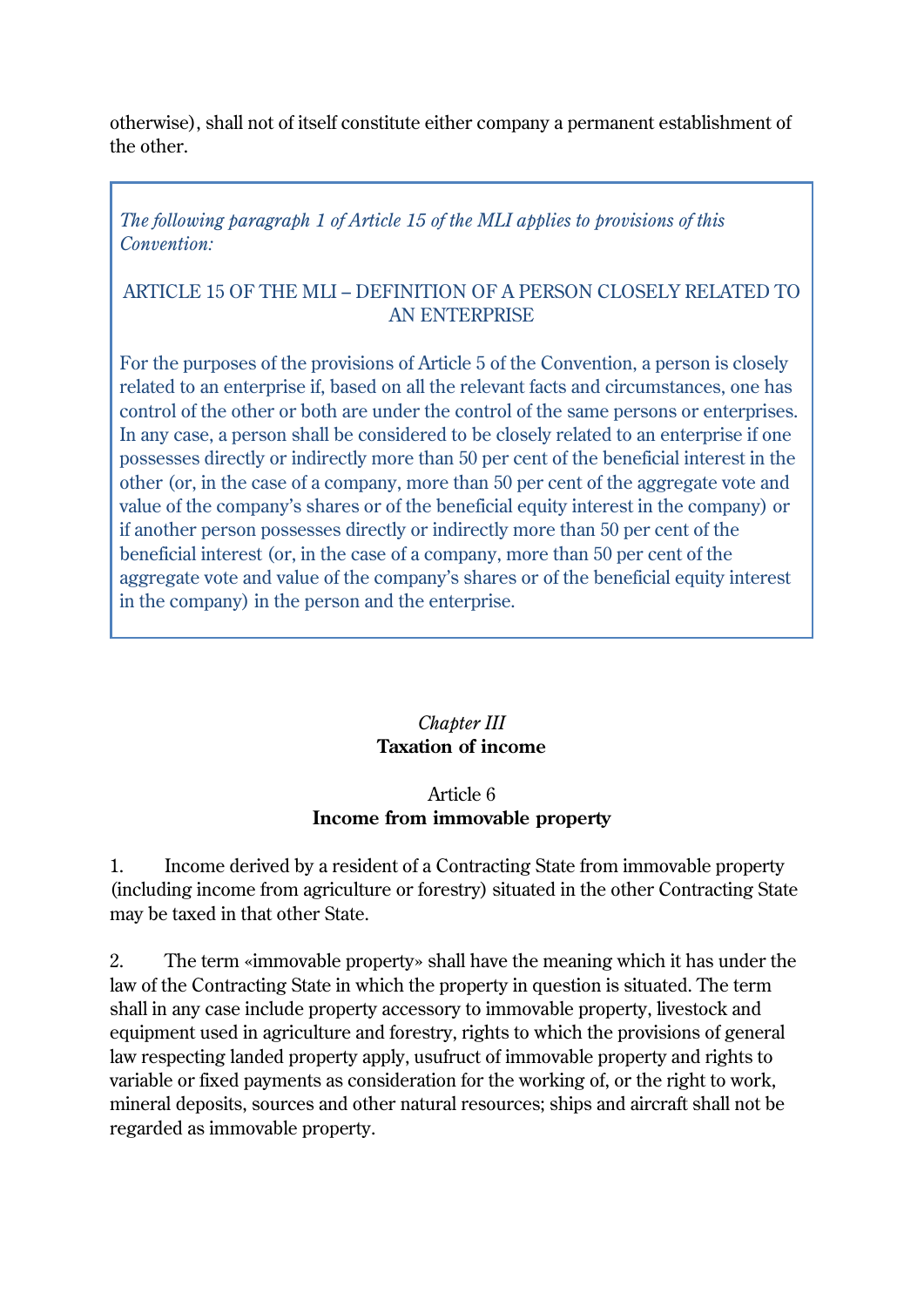otherwise), shall not of itself constitute either company a permanent establishment of the other.

*The following paragraph 1 of Article 15 of the MLI applies to provisions of this Convention:*

## ARTICLE 15 OF THE MLI – DEFINITION OF A PERSON CLOSELY RELATED TO AN ENTERPRISE

For the purposes of the provisions of Article 5 of the Convention, a person is closely related to an enterprise if, based on all the relevant facts and circumstances, one has control of the other or both are under the control of the same persons or enterprises. In any case, a person shall be considered to be closely related to an enterprise if one possesses directly or indirectly more than 50 per cent of the beneficial interest in the other (or, in the case of a company, more than 50 per cent of the aggregate vote and value of the company's shares or of the beneficial equity interest in the company) or if another person possesses directly or indirectly more than 50 per cent of the beneficial interest (or, in the case of a company, more than 50 per cent of the aggregate vote and value of the company's shares or of the beneficial equity interest in the company) in the person and the enterprise.

#### *Chapter III* **Taxation of income**

## Article 6 **Income from immovable property**

1. Income derived by a resident of a Contracting State from immovable property (including income from agriculture or forestry) situated in the other Contracting State may be taxed in that other State.

2. The term «immovable property» shall have the meaning which it has under the law of the Contracting State in which the property in question is situated. The term shall in any case include property accessory to immovable property, livestock and equipment used in agriculture and forestry, rights to which the provisions of general law respecting landed property apply, usufruct of immovable property and rights to variable or fixed payments as consideration for the working of, or the right to work, mineral deposits, sources and other natural resources; ships and aircraft shall not be regarded as immovable property.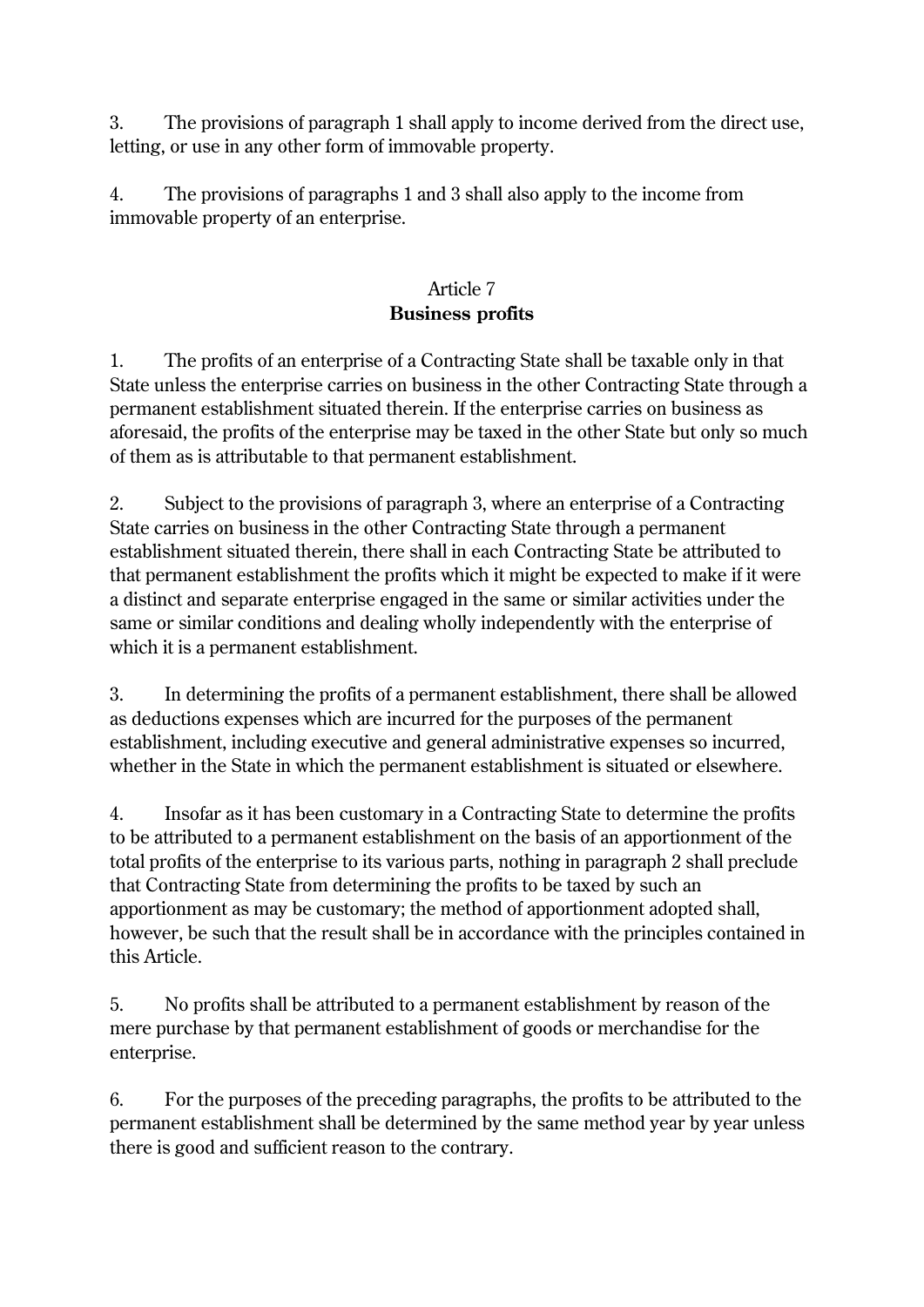3. The provisions of paragraph 1 shall apply to income derived from the direct use, letting, or use in any other form of immovable property.

4. The provisions of paragraphs 1 and 3 shall also apply to the income from immovable property of an enterprise.

## Article 7 **Business profits**

1. The profits of an enterprise of a Contracting State shall be taxable only in that State unless the enterprise carries on business in the other Contracting State through a permanent establishment situated therein. If the enterprise carries on business as aforesaid, the profits of the enterprise may be taxed in the other State but only so much of them as is attributable to that permanent establishment.

2. Subject to the provisions of paragraph 3, where an enterprise of a Contracting State carries on business in the other Contracting State through a permanent establishment situated therein, there shall in each Contracting State be attributed to that permanent establishment the profits which it might be expected to make if it were a distinct and separate enterprise engaged in the same or similar activities under the same or similar conditions and dealing wholly independently with the enterprise of which it is a permanent establishment.

3. In determining the profits of a permanent establishment, there shall be allowed as deductions expenses which are incurred for the purposes of the permanent establishment, including executive and general administrative expenses so incurred, whether in the State in which the permanent establishment is situated or elsewhere.

4. Insofar as it has been customary in a Contracting State to determine the profits to be attributed to a permanent establishment on the basis of an apportionment of the total profits of the enterprise to its various parts, nothing in paragraph 2 shall preclude that Contracting State from determining the profits to be taxed by such an apportionment as may be customary; the method of apportionment adopted shall, however, be such that the result shall be in accordance with the principles contained in this Article.

5. No profits shall be attributed to a permanent establishment by reason of the mere purchase by that permanent establishment of goods or merchandise for the enterprise.

6. For the purposes of the preceding paragraphs, the profits to be attributed to the permanent establishment shall be determined by the same method year by year unless there is good and sufficient reason to the contrary.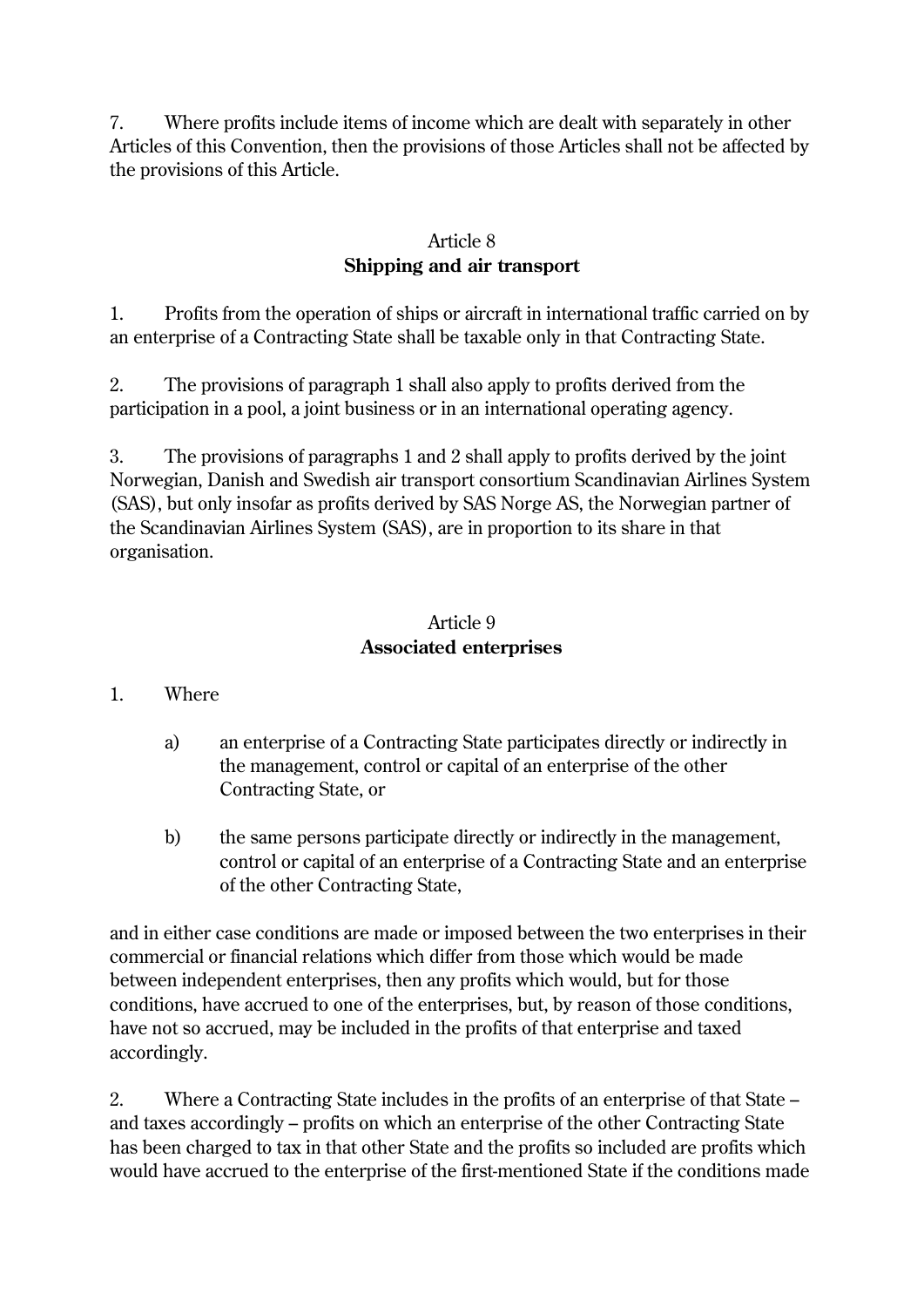7. Where profits include items of income which are dealt with separately in other Articles of this Convention, then the provisions of those Articles shall not be affected by the provisions of this Article.

## Article 8 **Shipping and air transport**

1. Profits from the operation of ships or aircraft in international traffic carried on by an enterprise of a Contracting State shall be taxable only in that Contracting State.

2. The provisions of paragraph 1 shall also apply to profits derived from the participation in a pool, a joint business or in an international operating agency.

3. The provisions of paragraphs 1 and 2 shall apply to profits derived by the joint Norwegian, Danish and Swedish air transport consortium Scandinavian Airlines System (SAS), but only insofar as profits derived by SAS Norge AS, the Norwegian partner of the Scandinavian Airlines System (SAS), are in proportion to its share in that organisation.

## Article 9 **Associated enterprises**

1. Where

- a) an enterprise of a Contracting State participates directly or indirectly in the management, control or capital of an enterprise of the other Contracting State, or
- b) the same persons participate directly or indirectly in the management, control or capital of an enterprise of a Contracting State and an enterprise of the other Contracting State,

and in either case conditions are made or imposed between the two enterprises in their commercial or financial relations which differ from those which would be made between independent enterprises, then any profits which would, but for those conditions, have accrued to one of the enterprises, but, by reason of those conditions, have not so accrued, may be included in the profits of that enterprise and taxed accordingly.

2. Where a Contracting State includes in the profits of an enterprise of that State – and taxes accordingly – profits on which an enterprise of the other Contracting State has been charged to tax in that other State and the profits so included are profits which would have accrued to the enterprise of the first-mentioned State if the conditions made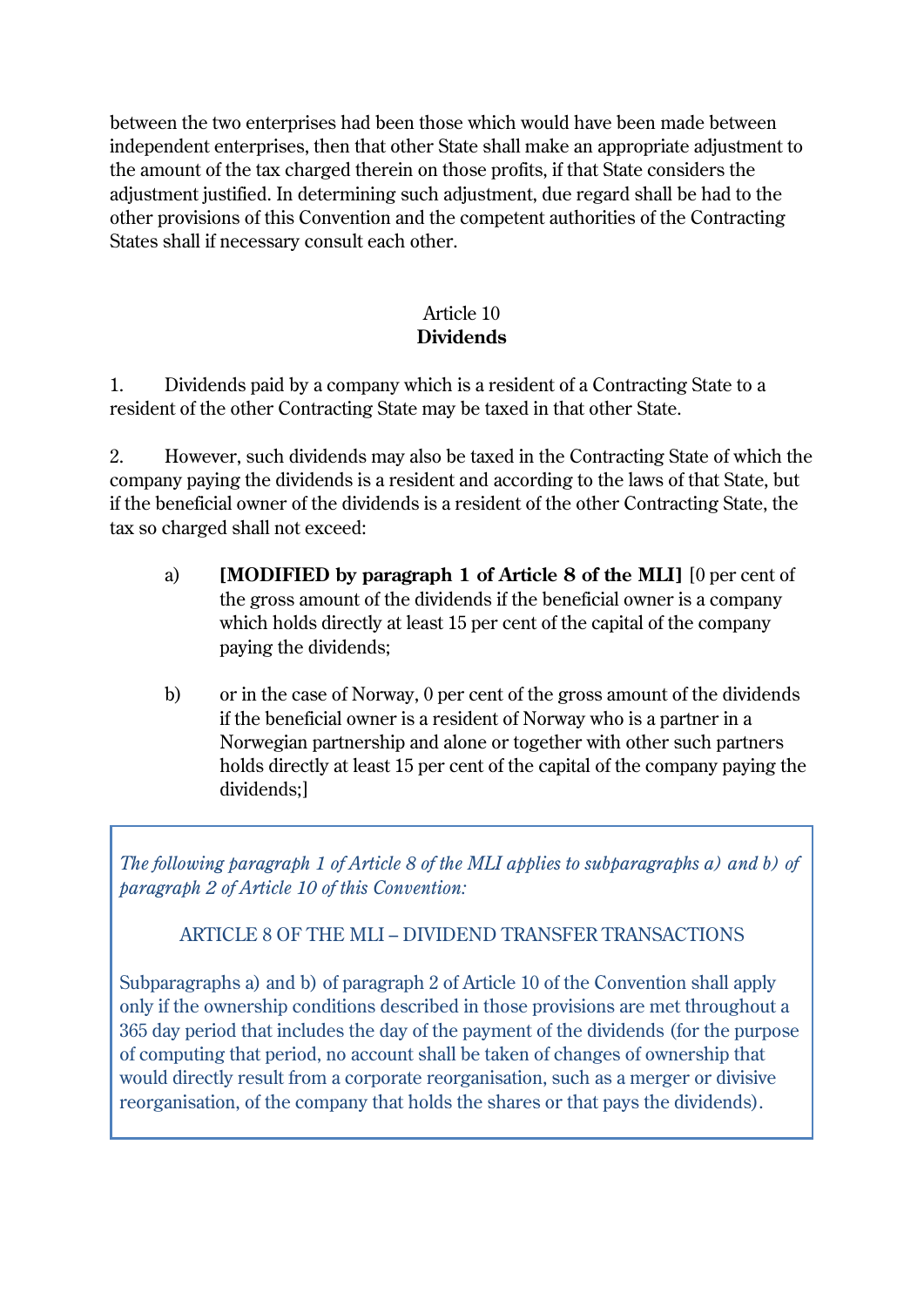between the two enterprises had been those which would have been made between independent enterprises, then that other State shall make an appropriate adjustment to the amount of the tax charged therein on those profits, if that State considers the adjustment justified. In determining such adjustment, due regard shall be had to the other provisions of this Convention and the competent authorities of the Contracting States shall if necessary consult each other.

## Article 10 **Dividends**

1. Dividends paid by a company which is a resident of a Contracting State to a resident of the other Contracting State may be taxed in that other State.

2. However, such dividends may also be taxed in the Contracting State of which the company paying the dividends is a resident and according to the laws of that State, but if the beneficial owner of the dividends is a resident of the other Contracting State, the tax so charged shall not exceed:

- a) **[MODIFIED by paragraph 1 of Article 8 of the MLI]** [0 per cent of the gross amount of the dividends if the beneficial owner is a company which holds directly at least 15 per cent of the capital of the company paying the dividends;
- b) or in the case of Norway, 0 per cent of the gross amount of the dividends if the beneficial owner is a resident of Norway who is a partner in a Norwegian partnership and alone or together with other such partners holds directly at least 15 per cent of the capital of the company paying the dividends;]

*The following paragraph 1 of Article 8 of the MLI applies to subparagraphs a) and b) of paragraph 2 of Article 10 of this Convention:*

ARTICLE 8 OF THE MLI – DIVIDEND TRANSFER TRANSACTIONS

Subparagraphs a) and b) of paragraph 2 of Article 10 of the Convention shall apply only if the ownership conditions described in those provisions are met throughout a 365 day period that includes the day of the payment of the dividends (for the purpose of computing that period, no account shall be taken of changes of ownership that would directly result from a corporate reorganisation, such as a merger or divisive reorganisation, of the company that holds the shares or that pays the dividends).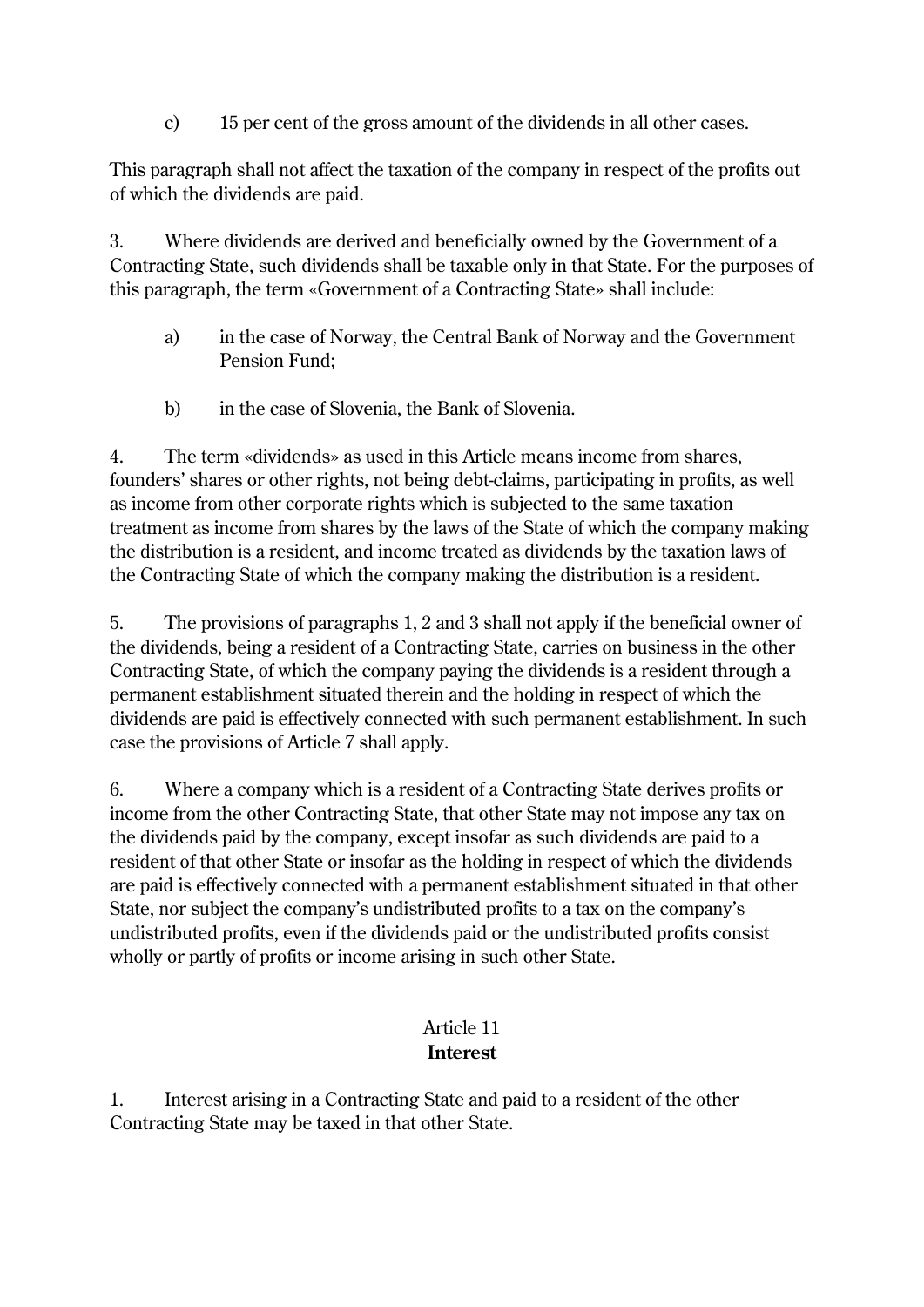c) 15 per cent of the gross amount of the dividends in all other cases.

This paragraph shall not affect the taxation of the company in respect of the profits out of which the dividends are paid.

3. Where dividends are derived and beneficially owned by the Government of a Contracting State, such dividends shall be taxable only in that State. For the purposes of this paragraph, the term «Government of a Contracting State» shall include:

- a) in the case of Norway, the Central Bank of Norway and the Government Pension Fund;
- b) in the case of Slovenia, the Bank of Slovenia.

4. The term «dividends» as used in this Article means income from shares, founders' shares or other rights, not being debt-claims, participating in profits, as well as income from other corporate rights which is subjected to the same taxation treatment as income from shares by the laws of the State of which the company making the distribution is a resident, and income treated as dividends by the taxation laws of the Contracting State of which the company making the distribution is a resident.

5. The provisions of paragraphs 1, 2 and 3 shall not apply if the beneficial owner of the dividends, being a resident of a Contracting State, carries on business in the other Contracting State, of which the company paying the dividends is a resident through a permanent establishment situated therein and the holding in respect of which the dividends are paid is effectively connected with such permanent establishment. In such case the provisions of Article 7 shall apply.

6. Where a company which is a resident of a Contracting State derives profits or income from the other Contracting State, that other State may not impose any tax on the dividends paid by the company, except insofar as such dividends are paid to a resident of that other State or insofar as the holding in respect of which the dividends are paid is effectively connected with a permanent establishment situated in that other State, nor subject the company's undistributed profits to a tax on the company's undistributed profits, even if the dividends paid or the undistributed profits consist wholly or partly of profits or income arising in such other State.

## Article 11 **Interest**

1. Interest arising in a Contracting State and paid to a resident of the other Contracting State may be taxed in that other State.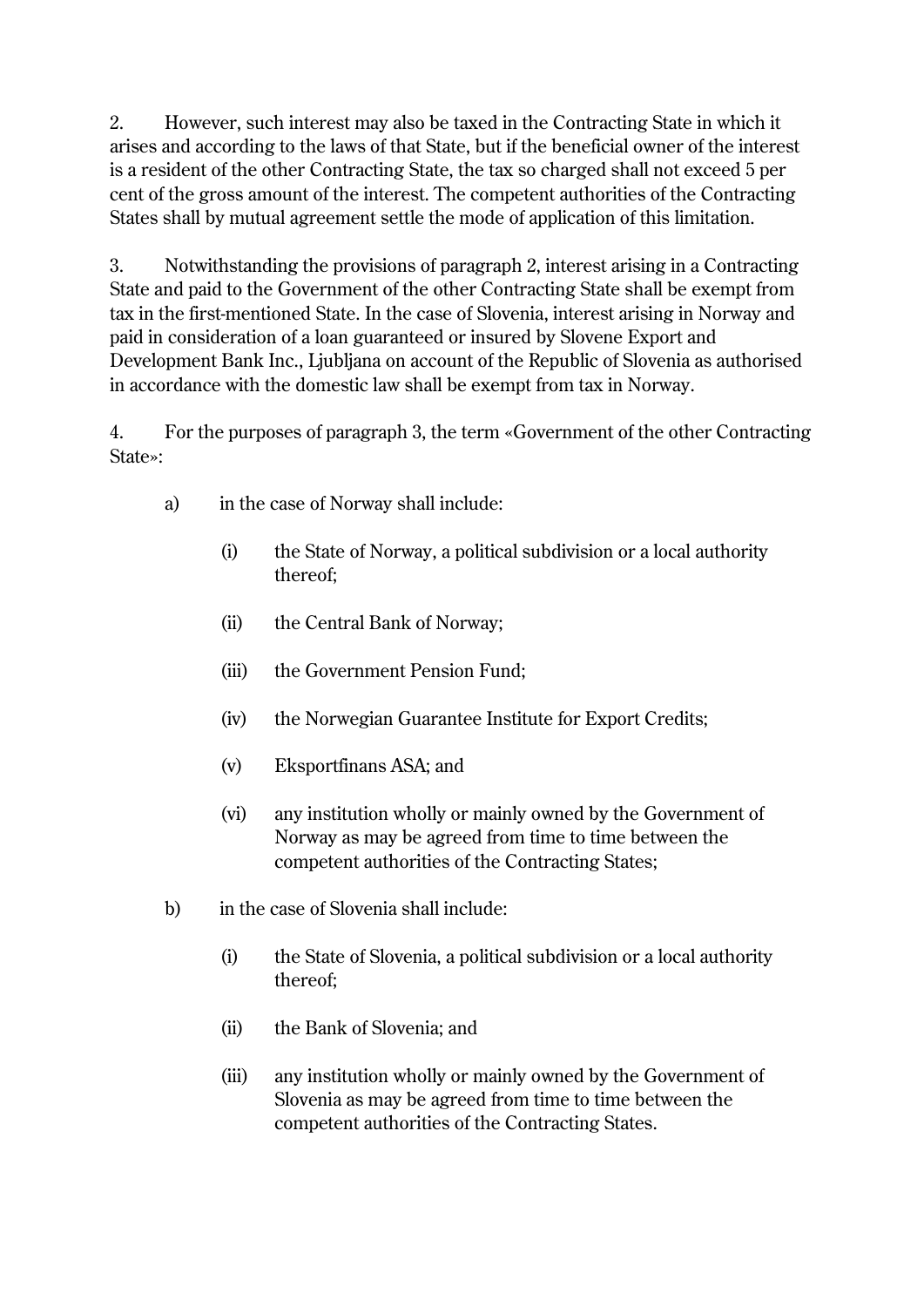2. However, such interest may also be taxed in the Contracting State in which it arises and according to the laws of that State, but if the beneficial owner of the interest is a resident of the other Contracting State, the tax so charged shall not exceed 5 per cent of the gross amount of the interest. The competent authorities of the Contracting States shall by mutual agreement settle the mode of application of this limitation.

3. Notwithstanding the provisions of paragraph 2, interest arising in a Contracting State and paid to the Government of the other Contracting State shall be exempt from tax in the first-mentioned State. In the case of Slovenia, interest arising in Norway and paid in consideration of a loan guaranteed or insured by Slovene Export and Development Bank Inc., Ljubljana on account of the Republic of Slovenia as authorised in accordance with the domestic law shall be exempt from tax in Norway.

4. For the purposes of paragraph 3, the term «Government of the other Contracting State»:

- a) in the case of Norway shall include:
	- (i) the State of Norway, a political subdivision or a local authority thereof;
	- (ii) the Central Bank of Norway;
	- (iii) the Government Pension Fund;
	- (iv) the Norwegian Guarantee Institute for Export Credits;
	- (v) Eksportfinans ASA; and
	- (vi) any institution wholly or mainly owned by the Government of Norway as may be agreed from time to time between the competent authorities of the Contracting States;
- b) in the case of Slovenia shall include:
	- (i) the State of Slovenia, a political subdivision or a local authority thereof;
	- (ii) the Bank of Slovenia; and
	- (iii) any institution wholly or mainly owned by the Government of Slovenia as may be agreed from time to time between the competent authorities of the Contracting States.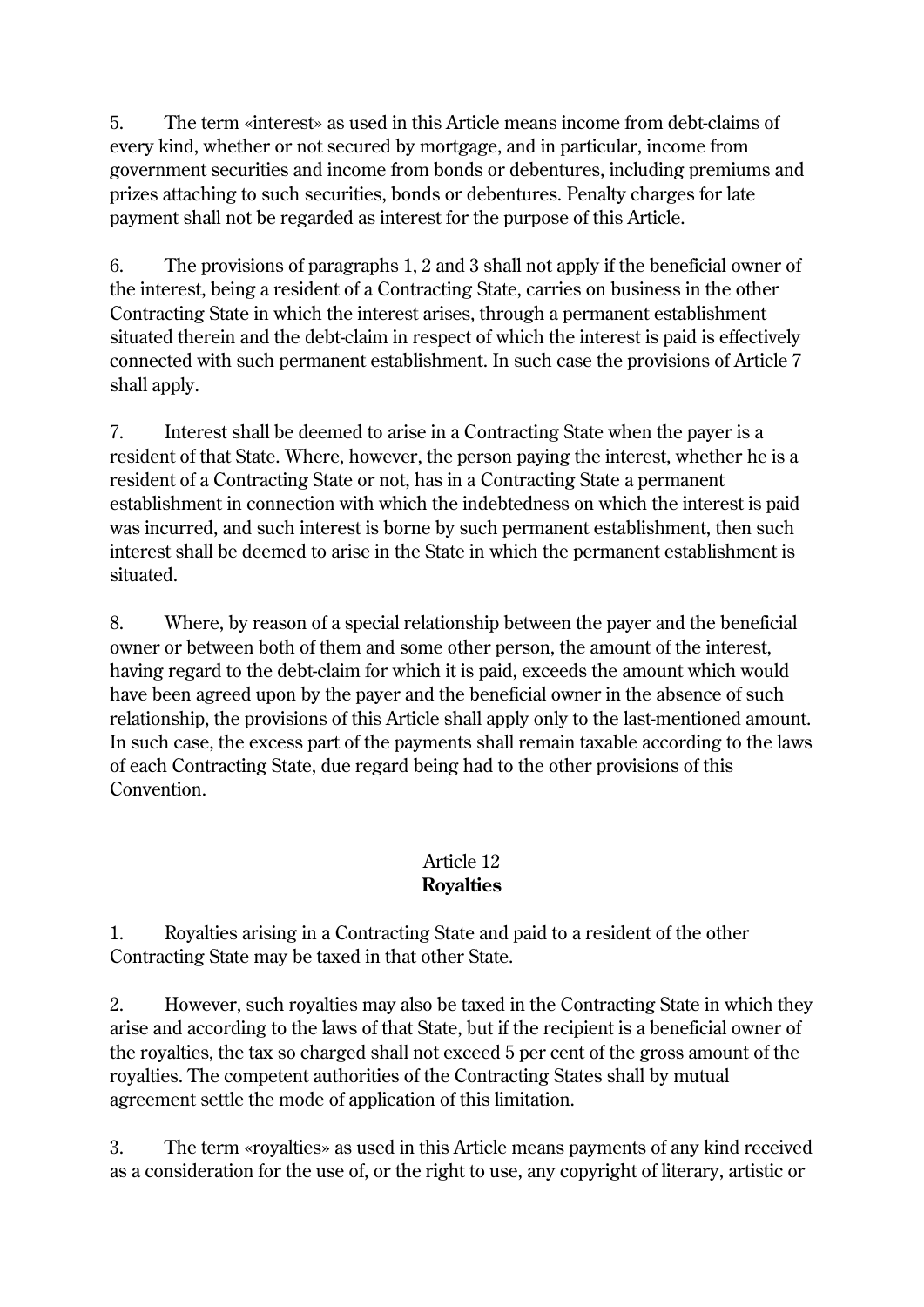5. The term «interest» as used in this Article means income from debt-claims of every kind, whether or not secured by mortgage, and in particular, income from government securities and income from bonds or debentures, including premiums and prizes attaching to such securities, bonds or debentures. Penalty charges for late payment shall not be regarded as interest for the purpose of this Article.

6. The provisions of paragraphs 1, 2 and 3 shall not apply if the beneficial owner of the interest, being a resident of a Contracting State, carries on business in the other Contracting State in which the interest arises, through a permanent establishment situated therein and the debt-claim in respect of which the interest is paid is effectively connected with such permanent establishment. In such case the provisions of Article 7 shall apply.

7. Interest shall be deemed to arise in a Contracting State when the payer is a resident of that State. Where, however, the person paying the interest, whether he is a resident of a Contracting State or not, has in a Contracting State a permanent establishment in connection with which the indebtedness on which the interest is paid was incurred, and such interest is borne by such permanent establishment, then such interest shall be deemed to arise in the State in which the permanent establishment is situated.

8. Where, by reason of a special relationship between the payer and the beneficial owner or between both of them and some other person, the amount of the interest, having regard to the debt-claim for which it is paid, exceeds the amount which would have been agreed upon by the payer and the beneficial owner in the absence of such relationship, the provisions of this Article shall apply only to the last-mentioned amount. In such case, the excess part of the payments shall remain taxable according to the laws of each Contracting State, due regard being had to the other provisions of this Convention.

## Article 12 **Royalties**

1. Royalties arising in a Contracting State and paid to a resident of the other Contracting State may be taxed in that other State.

2. However, such royalties may also be taxed in the Contracting State in which they arise and according to the laws of that State, but if the recipient is a beneficial owner of the royalties, the tax so charged shall not exceed 5 per cent of the gross amount of the royalties. The competent authorities of the Contracting States shall by mutual agreement settle the mode of application of this limitation.

3. The term «royalties» as used in this Article means payments of any kind received as a consideration for the use of, or the right to use, any copyright of literary, artistic or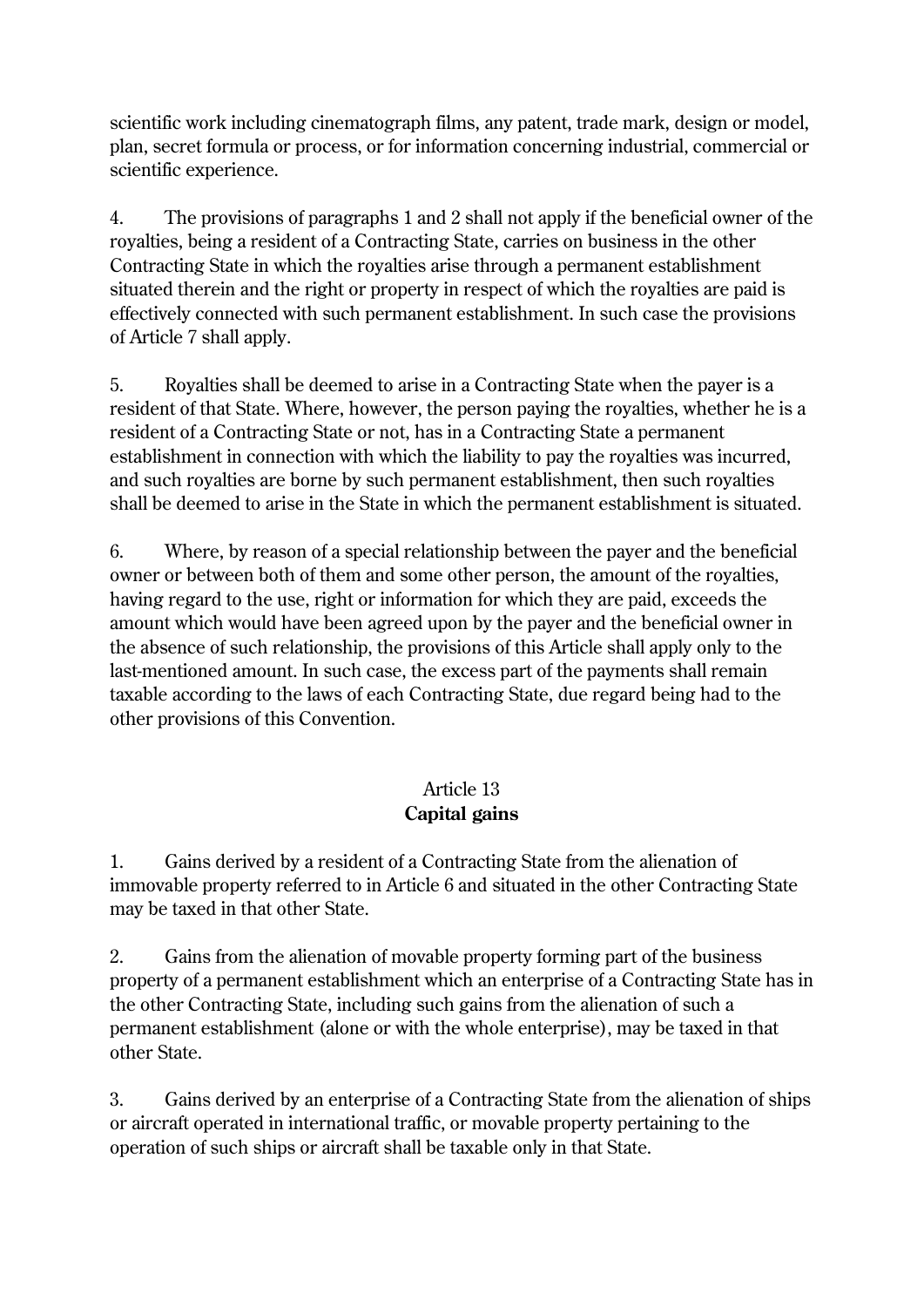scientific work including cinematograph films, any patent, trade mark, design or model, plan, secret formula or process, or for information concerning industrial, commercial or scientific experience.

4. The provisions of paragraphs 1 and 2 shall not apply if the beneficial owner of the royalties, being a resident of a Contracting State, carries on business in the other Contracting State in which the royalties arise through a permanent establishment situated therein and the right or property in respect of which the royalties are paid is effectively connected with such permanent establishment. In such case the provisions of Article 7 shall apply.

5. Royalties shall be deemed to arise in a Contracting State when the payer is a resident of that State. Where, however, the person paying the royalties, whether he is a resident of a Contracting State or not, has in a Contracting State a permanent establishment in connection with which the liability to pay the royalties was incurred, and such royalties are borne by such permanent establishment, then such royalties shall be deemed to arise in the State in which the permanent establishment is situated.

6. Where, by reason of a special relationship between the payer and the beneficial owner or between both of them and some other person, the amount of the royalties, having regard to the use, right or information for which they are paid, exceeds the amount which would have been agreed upon by the payer and the beneficial owner in the absence of such relationship, the provisions of this Article shall apply only to the last-mentioned amount. In such case, the excess part of the payments shall remain taxable according to the laws of each Contracting State, due regard being had to the other provisions of this Convention.

# Article 13 **Capital gains**

1. Gains derived by a resident of a Contracting State from the alienation of immovable property referred to in Article 6 and situated in the other Contracting State may be taxed in that other State.

2. Gains from the alienation of movable property forming part of the business property of a permanent establishment which an enterprise of a Contracting State has in the other Contracting State, including such gains from the alienation of such a permanent establishment (alone or with the whole enterprise), may be taxed in that other State.

3. Gains derived by an enterprise of a Contracting State from the alienation of ships or aircraft operated in international traffic, or movable property pertaining to the operation of such ships or aircraft shall be taxable only in that State.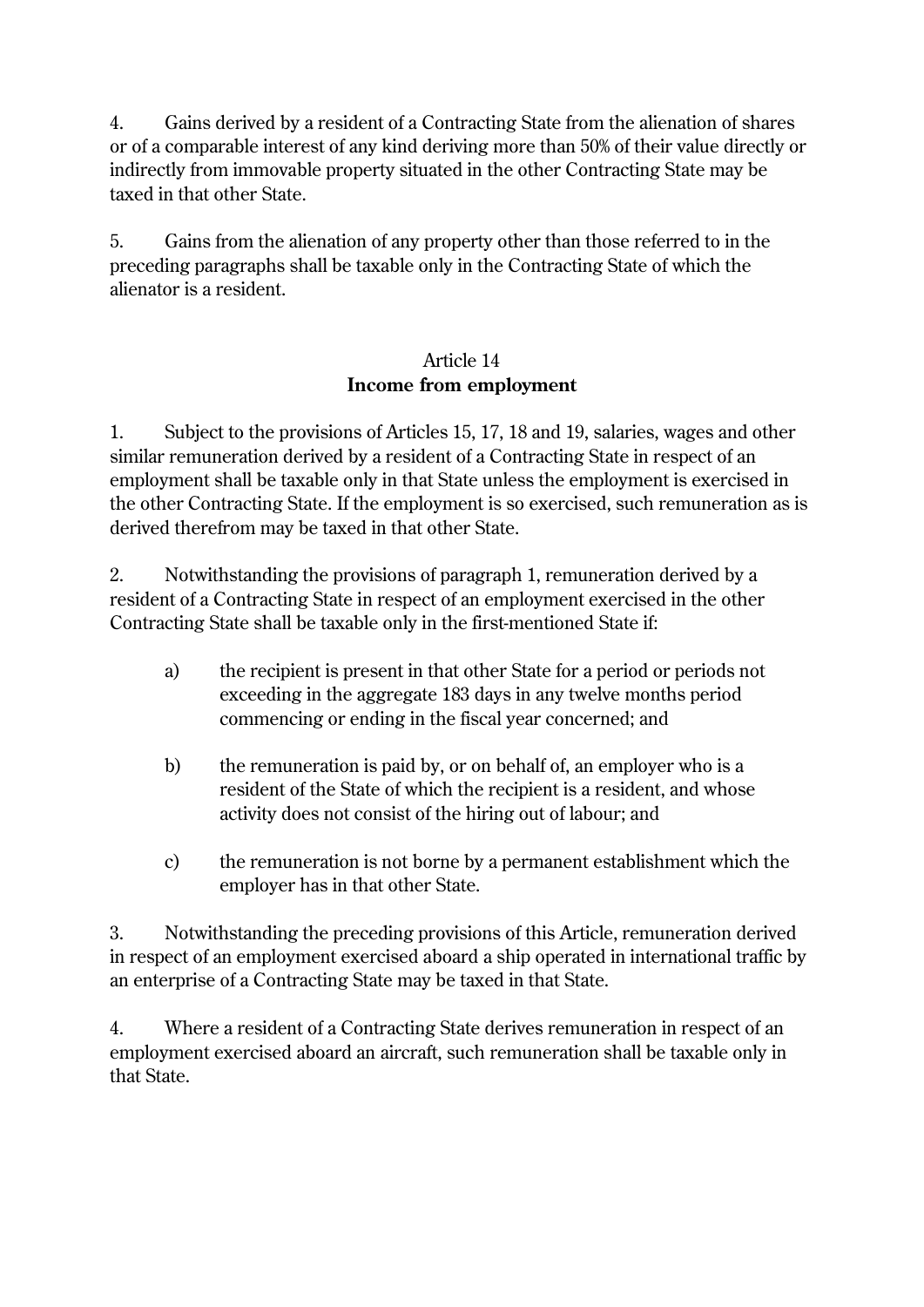4. Gains derived by a resident of a Contracting State from the alienation of shares or of a comparable interest of any kind deriving more than 50% of their value directly or indirectly from immovable property situated in the other Contracting State may be taxed in that other State.

5. Gains from the alienation of any property other than those referred to in the preceding paragraphs shall be taxable only in the Contracting State of which the alienator is a resident.

#### Article 14 **Income from employment**

1. Subject to the provisions of Articles 15, 17, 18 and 19, salaries, wages and other similar remuneration derived by a resident of a Contracting State in respect of an employment shall be taxable only in that State unless the employment is exercised in the other Contracting State. If the employment is so exercised, such remuneration as is derived therefrom may be taxed in that other State.

2. Notwithstanding the provisions of paragraph 1, remuneration derived by a resident of a Contracting State in respect of an employment exercised in the other Contracting State shall be taxable only in the first-mentioned State if:

- a) the recipient is present in that other State for a period or periods not exceeding in the aggregate 183 days in any twelve months period commencing or ending in the fiscal year concerned; and
- b) the remuneration is paid by, or on behalf of, an employer who is a resident of the State of which the recipient is a resident, and whose activity does not consist of the hiring out of labour; and
- c) the remuneration is not borne by a permanent establishment which the employer has in that other State.

3. Notwithstanding the preceding provisions of this Article, remuneration derived in respect of an employment exercised aboard a ship operated in international traffic by an enterprise of a Contracting State may be taxed in that State.

4. Where a resident of a Contracting State derives remuneration in respect of an employment exercised aboard an aircraft, such remuneration shall be taxable only in that State.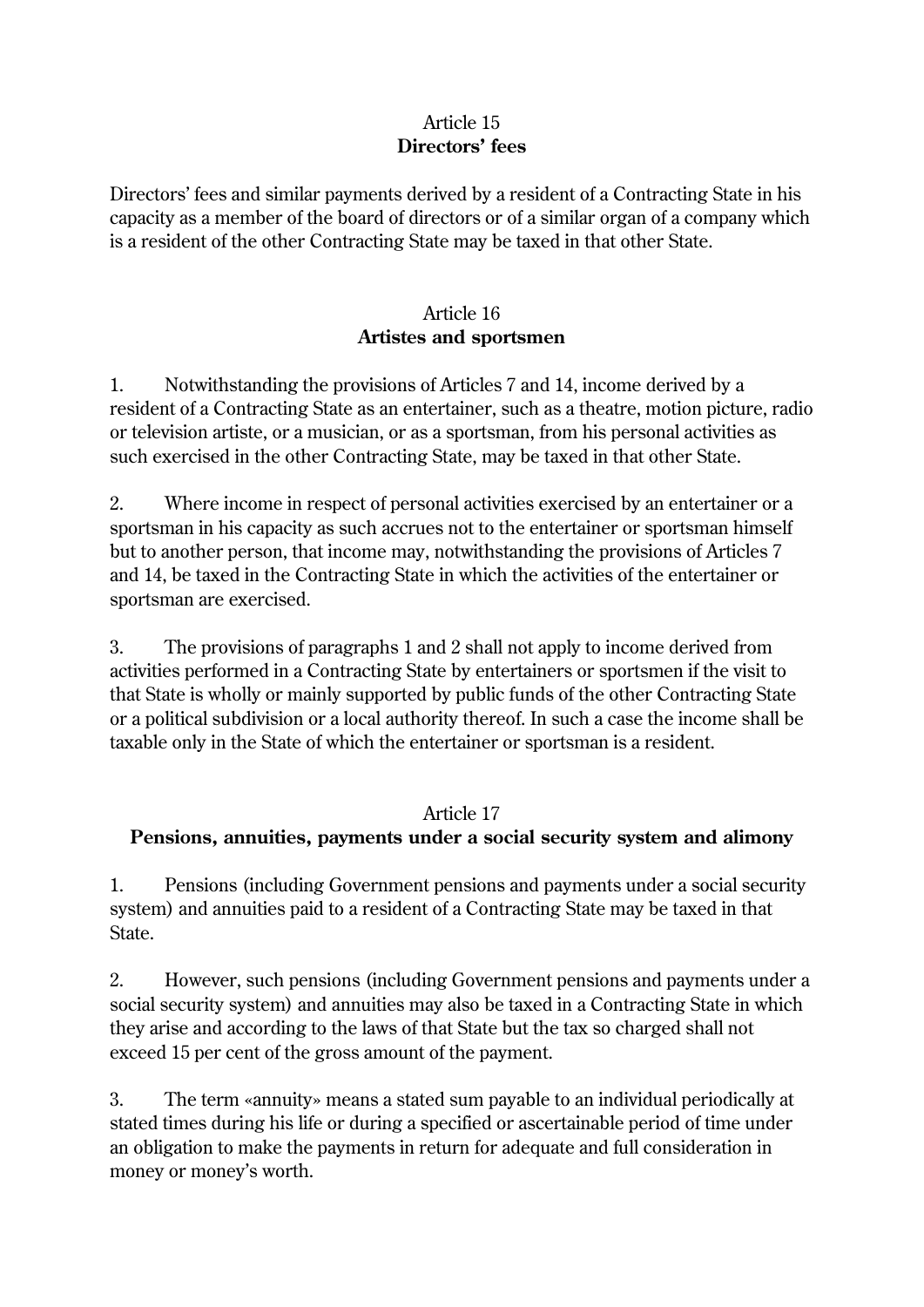#### Article 15 **Directors' fees**

Directors' fees and similar payments derived by a resident of a Contracting State in his capacity as a member of the board of directors or of a similar organ of a company which is a resident of the other Contracting State may be taxed in that other State.

### Article 16 **Artistes and sportsmen**

1. Notwithstanding the provisions of Articles 7 and 14, income derived by a resident of a Contracting State as an entertainer, such as a theatre, motion picture, radio or television artiste, or a musician, or as a sportsman, from his personal activities as such exercised in the other Contracting State, may be taxed in that other State.

2. Where income in respect of personal activities exercised by an entertainer or a sportsman in his capacity as such accrues not to the entertainer or sportsman himself but to another person, that income may, notwithstanding the provisions of Articles 7 and 14, be taxed in the Contracting State in which the activities of the entertainer or sportsman are exercised.

3. The provisions of paragraphs 1 and 2 shall not apply to income derived from activities performed in a Contracting State by entertainers or sportsmen if the visit to that State is wholly or mainly supported by public funds of the other Contracting State or a political subdivision or a local authority thereof. In such a case the income shall be taxable only in the State of which the entertainer or sportsman is a resident.

## Article 17

## **Pensions, annuities, payments under a social security system and alimony**

1. Pensions (including Government pensions and payments under a social security system) and annuities paid to a resident of a Contracting State may be taxed in that State.

2. However, such pensions (including Government pensions and payments under a social security system) and annuities may also be taxed in a Contracting State in which they arise and according to the laws of that State but the tax so charged shall not exceed 15 per cent of the gross amount of the payment.

3. The term «annuity» means a stated sum payable to an individual periodically at stated times during his life or during a specified or ascertainable period of time under an obligation to make the payments in return for adequate and full consideration in money or money's worth.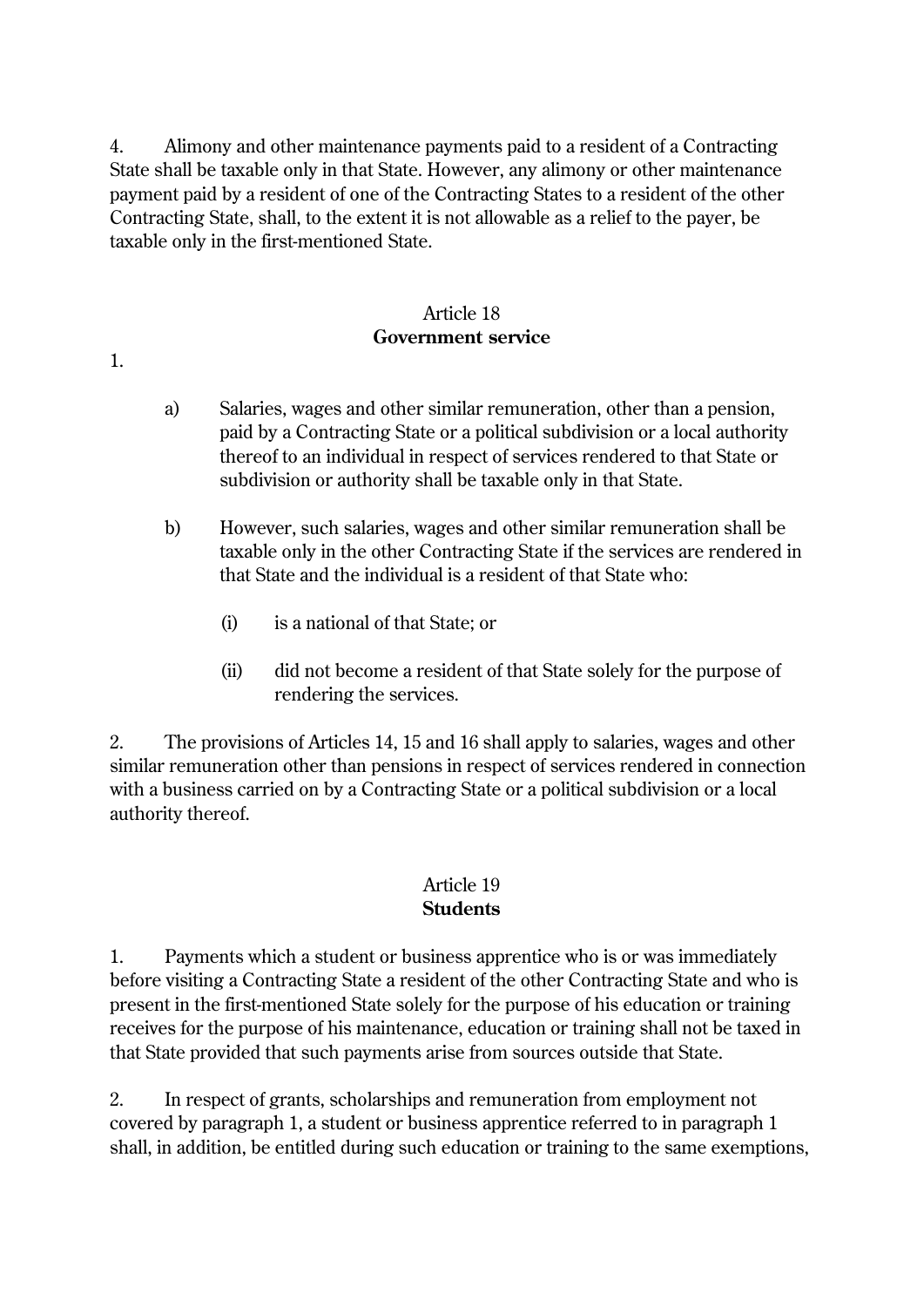4. Alimony and other maintenance payments paid to a resident of a Contracting State shall be taxable only in that State. However, any alimony or other maintenance payment paid by a resident of one of the Contracting States to a resident of the other Contracting State, shall, to the extent it is not allowable as a relief to the payer, be taxable only in the first-mentioned State.

#### Article 18 **Government service**

1.

- a) Salaries, wages and other similar remuneration, other than a pension, paid by a Contracting State or a political subdivision or a local authority thereof to an individual in respect of services rendered to that State or subdivision or authority shall be taxable only in that State.
- b) However, such salaries, wages and other similar remuneration shall be taxable only in the other Contracting State if the services are rendered in that State and the individual is a resident of that State who:
	- (i) is a national of that State; or
	- (ii) did not become a resident of that State solely for the purpose of rendering the services.

2. The provisions of Articles 14, 15 and 16 shall apply to salaries, wages and other similar remuneration other than pensions in respect of services rendered in connection with a business carried on by a Contracting State or a political subdivision or a local authority thereof.

## Article 19 **Students**

1. Payments which a student or business apprentice who is or was immediately before visiting a Contracting State a resident of the other Contracting State and who is present in the first-mentioned State solely for the purpose of his education or training receives for the purpose of his maintenance, education or training shall not be taxed in that State provided that such payments arise from sources outside that State.

2. In respect of grants, scholarships and remuneration from employment not covered by paragraph 1, a student or business apprentice referred to in paragraph 1 shall, in addition, be entitled during such education or training to the same exemptions,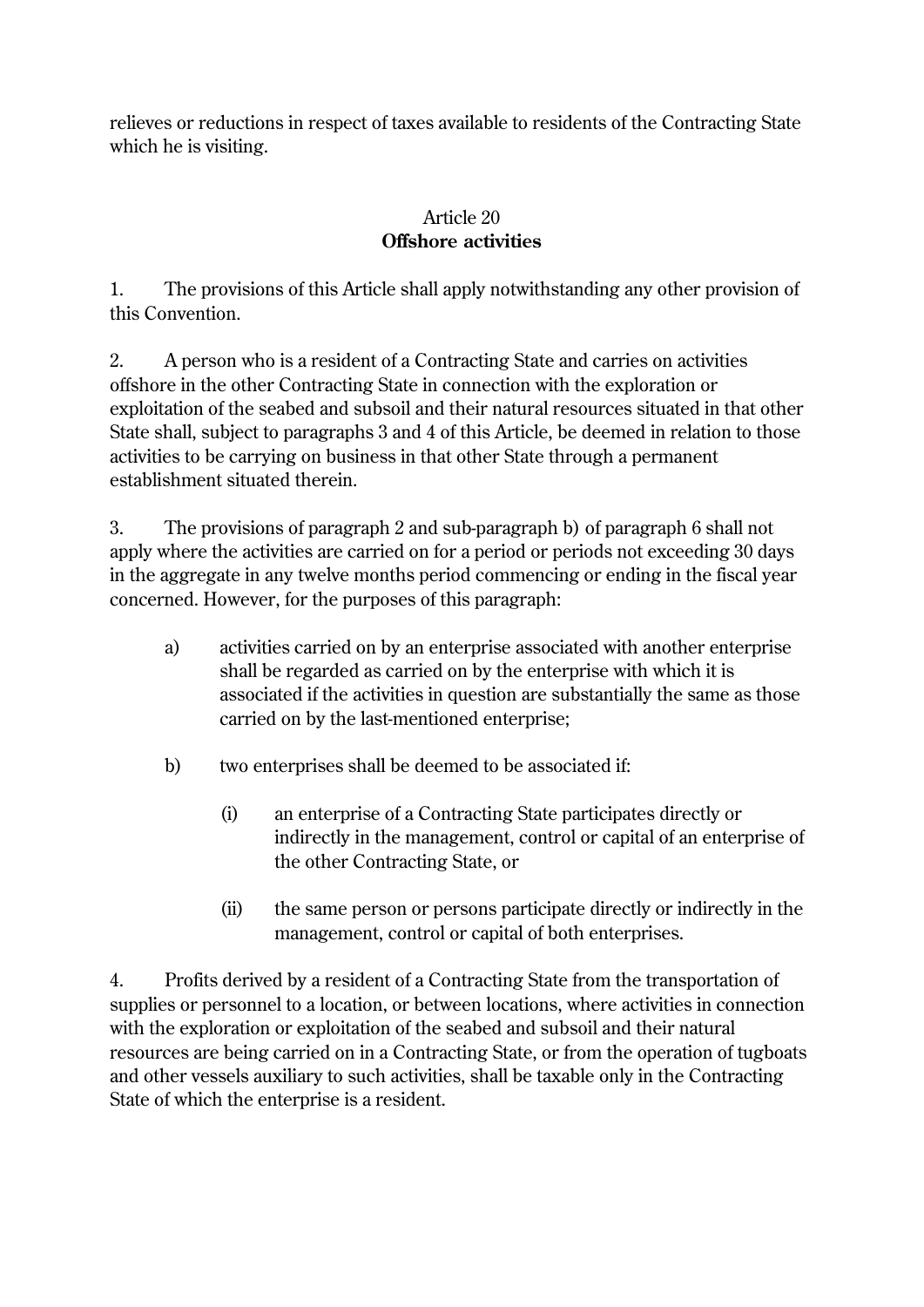relieves or reductions in respect of taxes available to residents of the Contracting State which he is visiting.

## Article 20 **Offshore activities**

1. The provisions of this Article shall apply notwithstanding any other provision of this Convention.

2. A person who is a resident of a Contracting State and carries on activities offshore in the other Contracting State in connection with the exploration or exploitation of the seabed and subsoil and their natural resources situated in that other State shall, subject to paragraphs 3 and 4 of this Article, be deemed in relation to those activities to be carrying on business in that other State through a permanent establishment situated therein.

3. The provisions of paragraph 2 and sub-paragraph b) of paragraph 6 shall not apply where the activities are carried on for a period or periods not exceeding 30 days in the aggregate in any twelve months period commencing or ending in the fiscal year concerned. However, for the purposes of this paragraph:

- a) activities carried on by an enterprise associated with another enterprise shall be regarded as carried on by the enterprise with which it is associated if the activities in question are substantially the same as those carried on by the last-mentioned enterprise;
- b) two enterprises shall be deemed to be associated if:
	- (i) an enterprise of a Contracting State participates directly or indirectly in the management, control or capital of an enterprise of the other Contracting State, or
	- (ii) the same person or persons participate directly or indirectly in the management, control or capital of both enterprises.

4. Profits derived by a resident of a Contracting State from the transportation of supplies or personnel to a location, or between locations, where activities in connection with the exploration or exploitation of the seabed and subsoil and their natural resources are being carried on in a Contracting State, or from the operation of tugboats and other vessels auxiliary to such activities, shall be taxable only in the Contracting State of which the enterprise is a resident.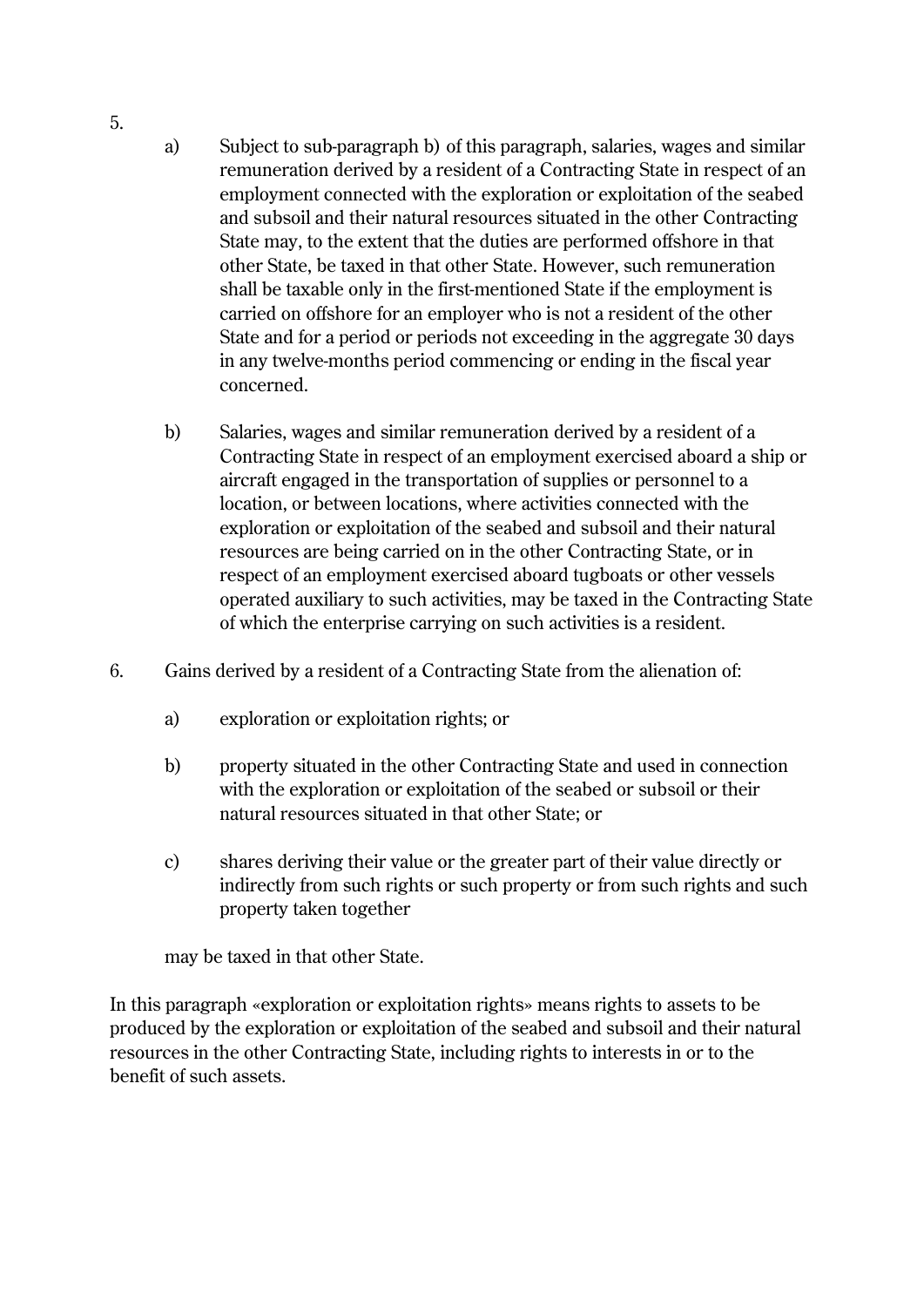- a) Subject to sub-paragraph b) of this paragraph, salaries, wages and similar remuneration derived by a resident of a Contracting State in respect of an employment connected with the exploration or exploitation of the seabed and subsoil and their natural resources situated in the other Contracting State may, to the extent that the duties are performed offshore in that other State, be taxed in that other State. However, such remuneration shall be taxable only in the first-mentioned State if the employment is carried on offshore for an employer who is not a resident of the other State and for a period or periods not exceeding in the aggregate 30 days in any twelve-months period commencing or ending in the fiscal year concerned.
- b) Salaries, wages and similar remuneration derived by a resident of a Contracting State in respect of an employment exercised aboard a ship or aircraft engaged in the transportation of supplies or personnel to a location, or between locations, where activities connected with the exploration or exploitation of the seabed and subsoil and their natural resources are being carried on in the other Contracting State, or in respect of an employment exercised aboard tugboats or other vessels operated auxiliary to such activities, may be taxed in the Contracting State of which the enterprise carrying on such activities is a resident.
- 6. Gains derived by a resident of a Contracting State from the alienation of:
	- a) exploration or exploitation rights; or
	- b) property situated in the other Contracting State and used in connection with the exploration or exploitation of the seabed or subsoil or their natural resources situated in that other State; or
	- c) shares deriving their value or the greater part of their value directly or indirectly from such rights or such property or from such rights and such property taken together

may be taxed in that other State.

In this paragraph «exploration or exploitation rights» means rights to assets to be produced by the exploration or exploitation of the seabed and subsoil and their natural resources in the other Contracting State, including rights to interests in or to the benefit of such assets.

5.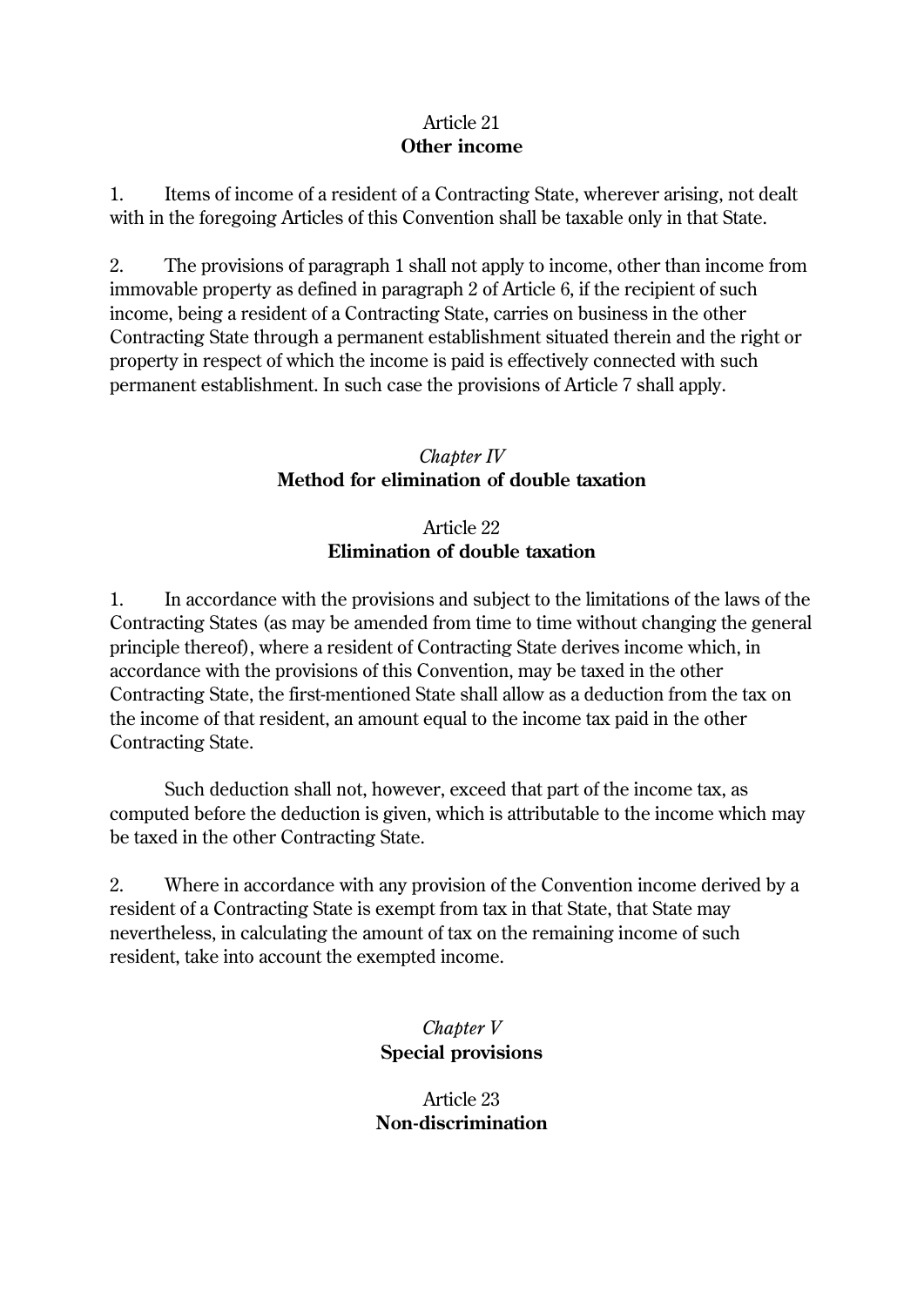### Article 21 **Other income**

1. Items of income of a resident of a Contracting State, wherever arising, not dealt with in the foregoing Articles of this Convention shall be taxable only in that State.

2. The provisions of paragraph 1 shall not apply to income, other than income from immovable property as defined in paragraph 2 of Article 6, if the recipient of such income, being a resident of a Contracting State, carries on business in the other Contracting State through a permanent establishment situated therein and the right or property in respect of which the income is paid is effectively connected with such permanent establishment. In such case the provisions of Article 7 shall apply.

## *Chapter IV* **Method for elimination of double taxation**

## Article 22 **Elimination of double taxation**

1. In accordance with the provisions and subject to the limitations of the laws of the Contracting States (as may be amended from time to time without changing the general principle thereof), where a resident of Contracting State derives income which, in accordance with the provisions of this Convention, may be taxed in the other Contracting State, the first-mentioned State shall allow as a deduction from the tax on the income of that resident, an amount equal to the income tax paid in the other Contracting State.

Such deduction shall not, however, exceed that part of the income tax, as computed before the deduction is given, which is attributable to the income which may be taxed in the other Contracting State.

2. Where in accordance with any provision of the Convention income derived by a resident of a Contracting State is exempt from tax in that State, that State may nevertheless, in calculating the amount of tax on the remaining income of such resident, take into account the exempted income.

> *Chapter V* **Special provisions**

Article 23 **Non-discrimination**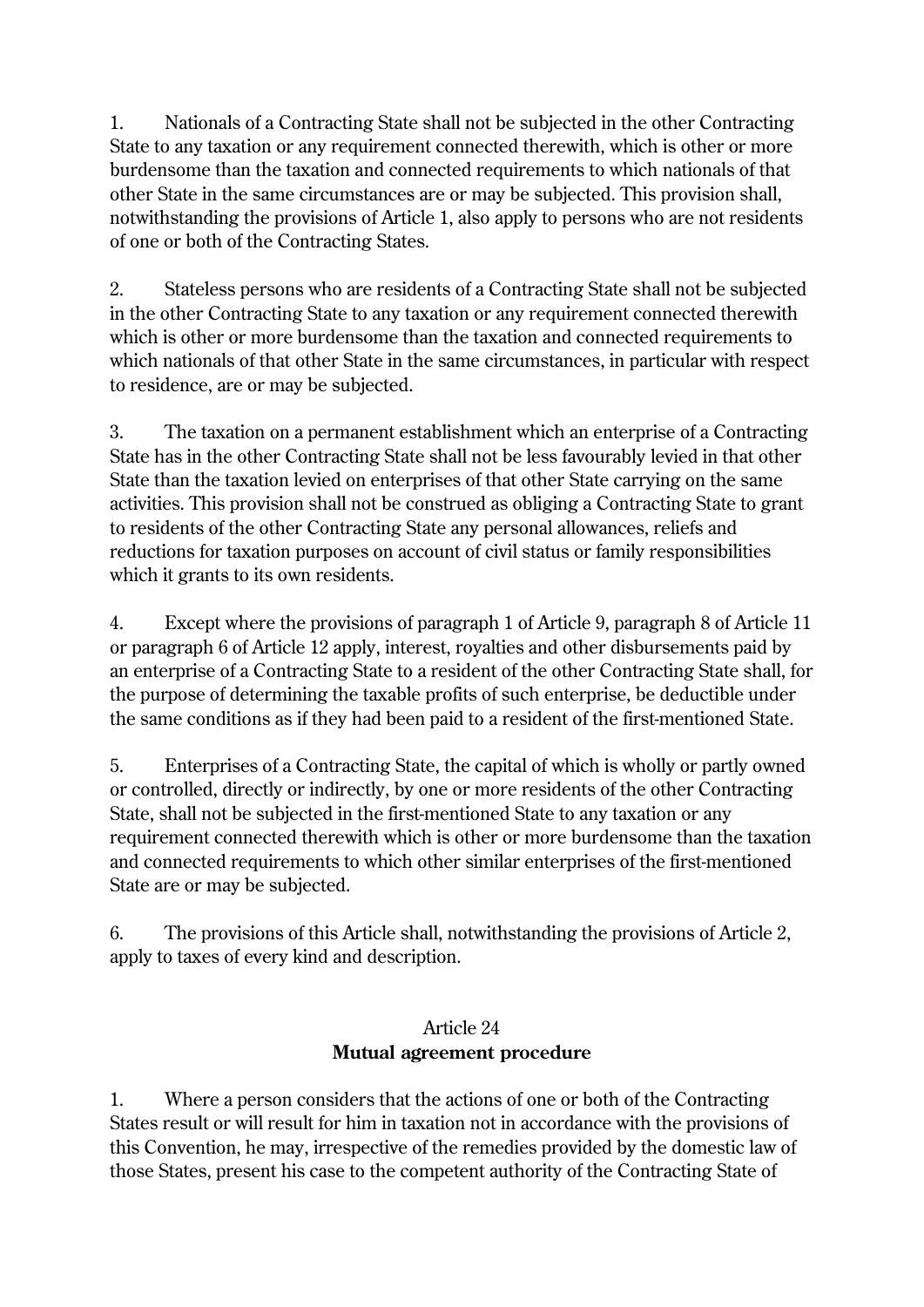1. Nationals of a Contracting State shall not be subjected in the other Contracting State to any taxation or any requirement connected therewith, which is other or more burdensome than the taxation and connected requirements to which nationals of that other State in the same circumstances are or may be subjected. This provision shall, notwithstanding the provisions of Article 1, also apply to persons who are not residents of one or both of the Contracting States.

2. Stateless persons who are residents of a Contracting State shall not be subjected in the other Contracting State to any taxation or any requirement connected therewith which is other or more burdensome than the taxation and connected requirements to which nationals of that other State in the same circumstances, in particular with respect to residence, are or may be subjected.

3. The taxation on a permanent establishment which an enterprise of a Contracting State has in the other Contracting State shall not be less favourably levied in that other State than the taxation levied on enterprises of that other State carrying on the same activities. This provision shall not be construed as obliging a Contracting State to grant to residents of the other Contracting State any personal allowances, reliefs and reductions for taxation purposes on account of civil status or family responsibilities which it grants to its own residents.

4. Except where the provisions of paragraph 1 of Article 9, paragraph 8 of Article 11 or paragraph 6 of Article 12 apply, interest, royalties and other disbursements paid by an enterprise of a Contracting State to a resident of the other Contracting State shall, for the purpose of determining the taxable profits of such enterprise, be deductible under the same conditions as if they had been paid to a resident of the first-mentioned State.

5. Enterprises of a Contracting State, the capital of which is wholly or partly owned or controlled, directly or indirectly, by one or more residents of the other Contracting State, shall not be subjected in the first-mentioned State to any taxation or any requirement connected therewith which is other or more burdensome than the taxation and connected requirements to which other similar enterprises of the first-mentioned State are or may be subjected.

6. The provisions of this Article shall, notwithstanding the provisions of Article 2, apply to taxes of every kind and description.

#### Article 24 **Mutual agreement procedure**

1. Where a person considers that the actions of one or both of the Contracting States result or will result for him in taxation not in accordance with the provisions of this Convention, he may, irrespective of the remedies provided by the domestic law of those States, present his case to the competent authority of the Contracting State of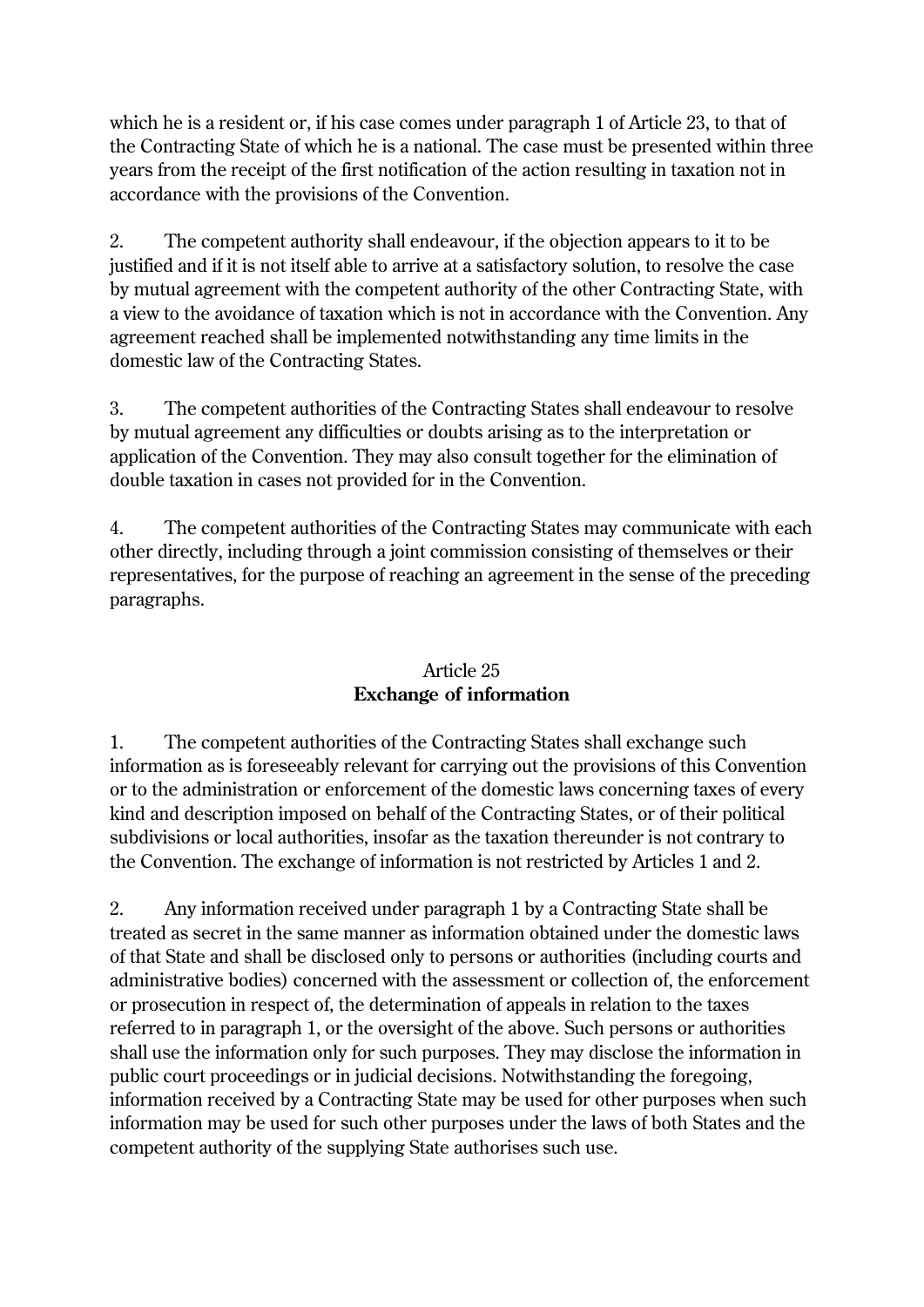which he is a resident or, if his case comes under paragraph 1 of Article 23, to that of the Contracting State of which he is a national. The case must be presented within three years from the receipt of the first notification of the action resulting in taxation not in accordance with the provisions of the Convention.

2. The competent authority shall endeavour, if the objection appears to it to be justified and if it is not itself able to arrive at a satisfactory solution, to resolve the case by mutual agreement with the competent authority of the other Contracting State, with a view to the avoidance of taxation which is not in accordance with the Convention. Any agreement reached shall be implemented notwithstanding any time limits in the domestic law of the Contracting States.

3. The competent authorities of the Contracting States shall endeavour to resolve by mutual agreement any difficulties or doubts arising as to the interpretation or application of the Convention. They may also consult together for the elimination of double taxation in cases not provided for in the Convention.

4. The competent authorities of the Contracting States may communicate with each other directly, including through a joint commission consisting of themselves or their representatives, for the purpose of reaching an agreement in the sense of the preceding paragraphs.

# Article 25 **Exchange of information**

1. The competent authorities of the Contracting States shall exchange such information as is foreseeably relevant for carrying out the provisions of this Convention or to the administration or enforcement of the domestic laws concerning taxes of every kind and description imposed on behalf of the Contracting States, or of their political subdivisions or local authorities, insofar as the taxation thereunder is not contrary to the Convention. The exchange of information is not restricted by Articles 1 and 2.

2. Any information received under paragraph 1 by a Contracting State shall be treated as secret in the same manner as information obtained under the domestic laws of that State and shall be disclosed only to persons or authorities (including courts and administrative bodies) concerned with the assessment or collection of, the enforcement or prosecution in respect of, the determination of appeals in relation to the taxes referred to in paragraph 1, or the oversight of the above. Such persons or authorities shall use the information only for such purposes. They may disclose the information in public court proceedings or in judicial decisions. Notwithstanding the foregoing, information received by a Contracting State may be used for other purposes when such information may be used for such other purposes under the laws of both States and the competent authority of the supplying State authorises such use.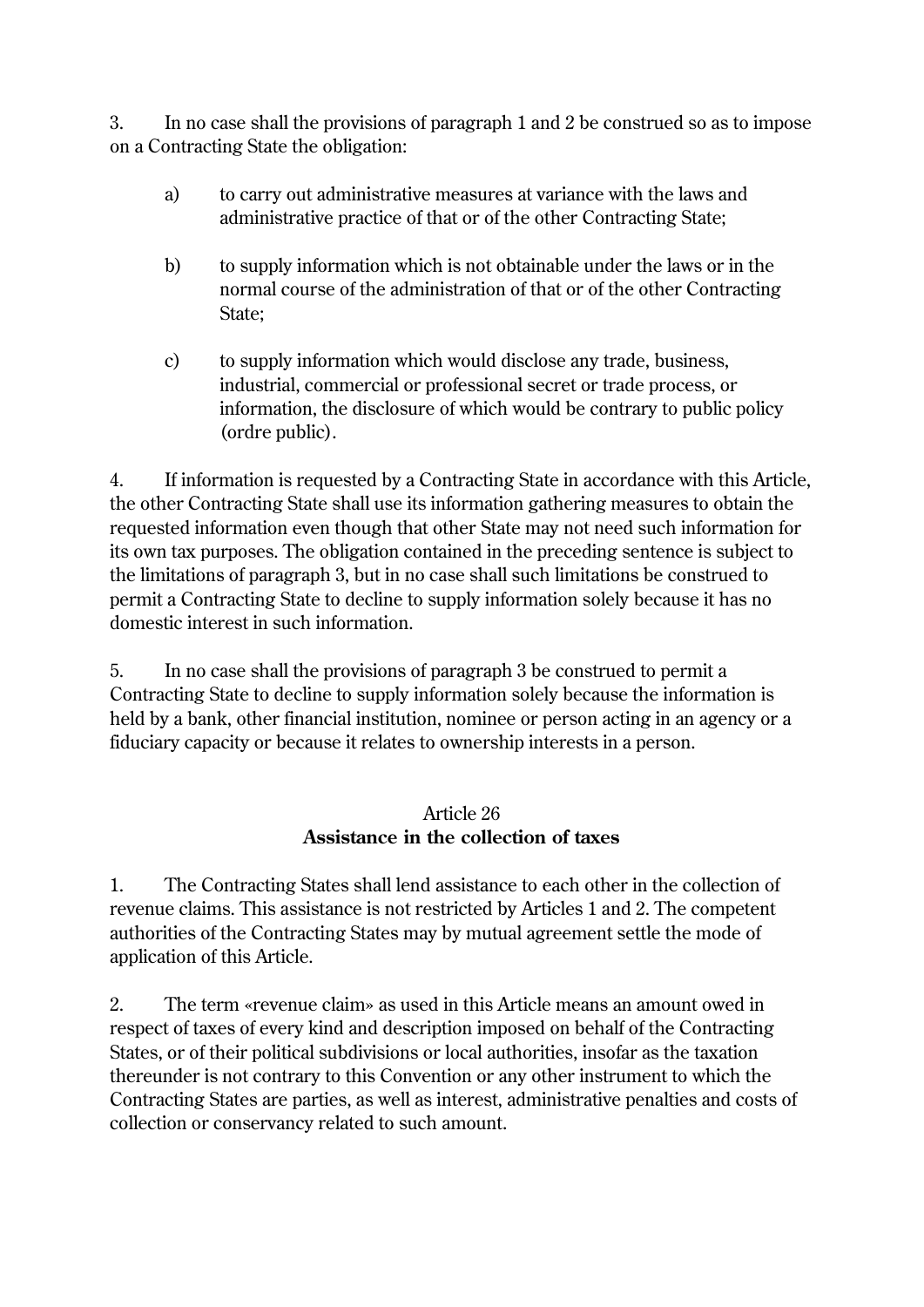3. In no case shall the provisions of paragraph 1 and 2 be construed so as to impose on a Contracting State the obligation:

- a) to carry out administrative measures at variance with the laws and administrative practice of that or of the other Contracting State;
- b) to supply information which is not obtainable under the laws or in the normal course of the administration of that or of the other Contracting State;
- c) to supply information which would disclose any trade, business, industrial, commercial or professional secret or trade process, or information, the disclosure of which would be contrary to public policy (ordre public).

4. If information is requested by a Contracting State in accordance with this Article, the other Contracting State shall use its information gathering measures to obtain the requested information even though that other State may not need such information for its own tax purposes. The obligation contained in the preceding sentence is subject to the limitations of paragraph 3, but in no case shall such limitations be construed to permit a Contracting State to decline to supply information solely because it has no domestic interest in such information.

5. In no case shall the provisions of paragraph 3 be construed to permit a Contracting State to decline to supply information solely because the information is held by a bank, other financial institution, nominee or person acting in an agency or a fiduciary capacity or because it relates to ownership interests in a person.

#### Article 26 **Assistance in the collection of taxes**

1. The Contracting States shall lend assistance to each other in the collection of revenue claims. This assistance is not restricted by Articles 1 and 2. The competent authorities of the Contracting States may by mutual agreement settle the mode of application of this Article.

2. The term «revenue claim» as used in this Article means an amount owed in respect of taxes of every kind and description imposed on behalf of the Contracting States, or of their political subdivisions or local authorities, insofar as the taxation thereunder is not contrary to this Convention or any other instrument to which the Contracting States are parties, as well as interest, administrative penalties and costs of collection or conservancy related to such amount.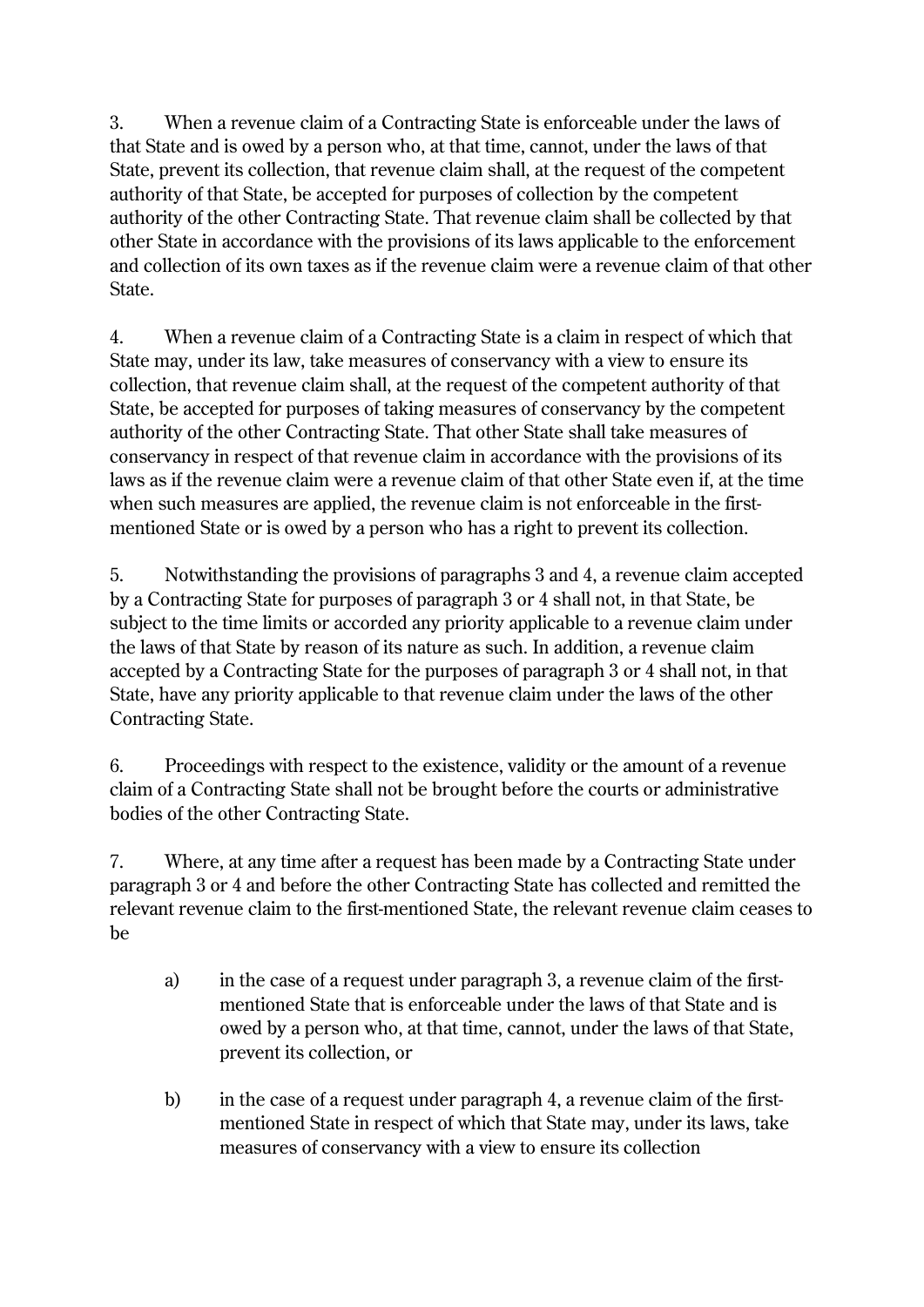3. When a revenue claim of a Contracting State is enforceable under the laws of that State and is owed by a person who, at that time, cannot, under the laws of that State, prevent its collection, that revenue claim shall, at the request of the competent authority of that State, be accepted for purposes of collection by the competent authority of the other Contracting State. That revenue claim shall be collected by that other State in accordance with the provisions of its laws applicable to the enforcement and collection of its own taxes as if the revenue claim were a revenue claim of that other State.

4. When a revenue claim of a Contracting State is a claim in respect of which that State may, under its law, take measures of conservancy with a view to ensure its collection, that revenue claim shall, at the request of the competent authority of that State, be accepted for purposes of taking measures of conservancy by the competent authority of the other Contracting State. That other State shall take measures of conservancy in respect of that revenue claim in accordance with the provisions of its laws as if the revenue claim were a revenue claim of that other State even if, at the time when such measures are applied, the revenue claim is not enforceable in the firstmentioned State or is owed by a person who has a right to prevent its collection.

5. Notwithstanding the provisions of paragraphs 3 and 4, a revenue claim accepted by a Contracting State for purposes of paragraph 3 or 4 shall not, in that State, be subject to the time limits or accorded any priority applicable to a revenue claim under the laws of that State by reason of its nature as such. In addition, a revenue claim accepted by a Contracting State for the purposes of paragraph 3 or 4 shall not, in that State, have any priority applicable to that revenue claim under the laws of the other Contracting State.

6. Proceedings with respect to the existence, validity or the amount of a revenue claim of a Contracting State shall not be brought before the courts or administrative bodies of the other Contracting State.

7. Where, at any time after a request has been made by a Contracting State under paragraph 3 or 4 and before the other Contracting State has collected and remitted the relevant revenue claim to the first-mentioned State, the relevant revenue claim ceases to be

- a) in the case of a request under paragraph 3, a revenue claim of the firstmentioned State that is enforceable under the laws of that State and is owed by a person who, at that time, cannot, under the laws of that State, prevent its collection, or
- b) in the case of a request under paragraph 4, a revenue claim of the firstmentioned State in respect of which that State may, under its laws, take measures of conservancy with a view to ensure its collection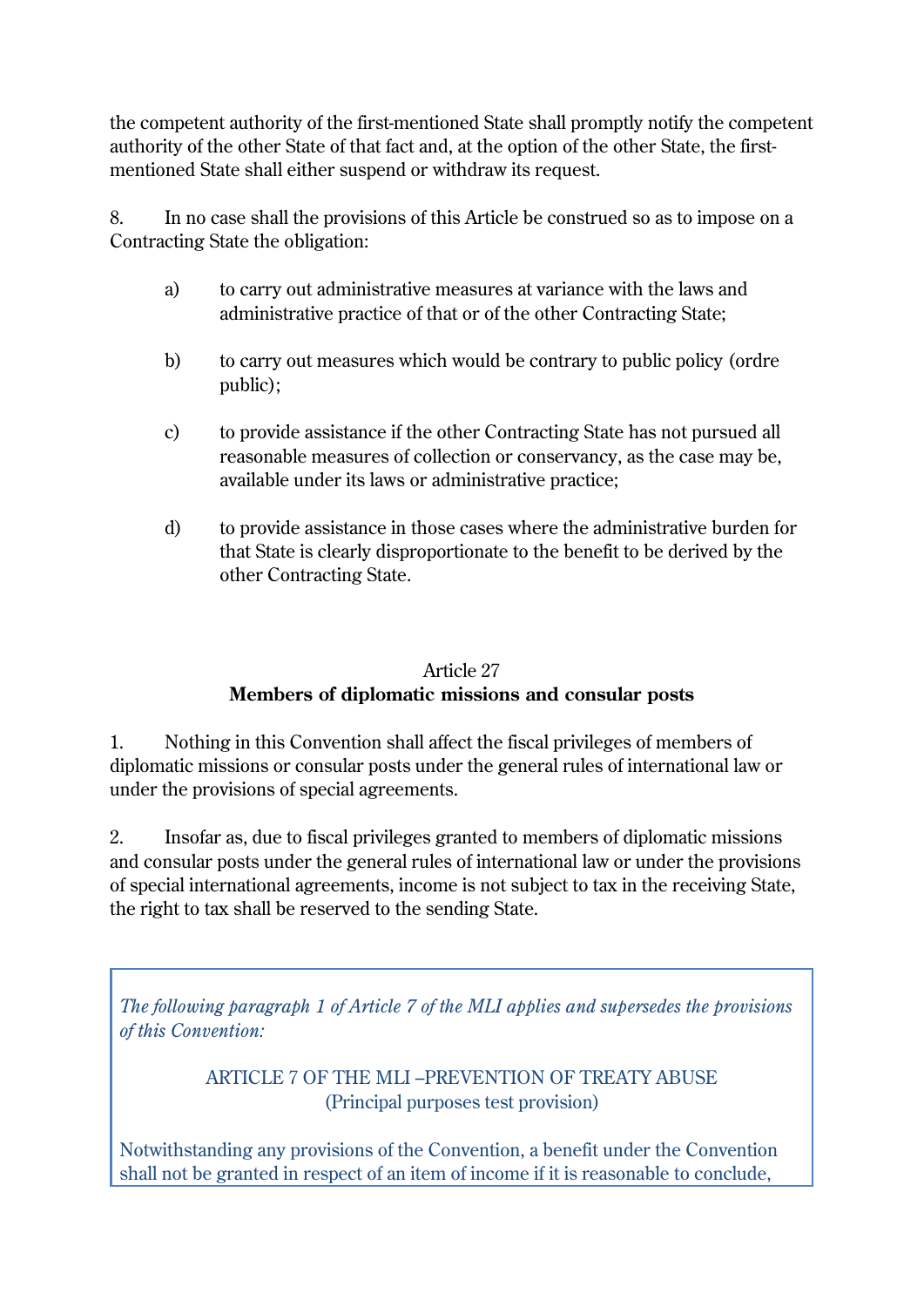the competent authority of the first-mentioned State shall promptly notify the competent authority of the other State of that fact and, at the option of the other State, the firstmentioned State shall either suspend or withdraw its request.

8. In no case shall the provisions of this Article be construed so as to impose on a Contracting State the obligation:

- a) to carry out administrative measures at variance with the laws and administrative practice of that or of the other Contracting State;
- b) to carry out measures which would be contrary to public policy (ordre public);
- c) to provide assistance if the other Contracting State has not pursued all reasonable measures of collection or conservancy, as the case may be, available under its laws or administrative practice;
- d) to provide assistance in those cases where the administrative burden for that State is clearly disproportionate to the benefit to be derived by the other Contracting State.

# Article 27 **Members of diplomatic missions and consular posts**

1. Nothing in this Convention shall affect the fiscal privileges of members of diplomatic missions or consular posts under the general rules of international law or under the provisions of special agreements.

2. Insofar as, due to fiscal privileges granted to members of diplomatic missions and consular posts under the general rules of international law or under the provisions of special international agreements, income is not subject to tax in the receiving State, the right to tax shall be reserved to the sending State.

*The following paragraph 1 of Article 7 of the MLI applies and supersedes the provisions of this Convention:*

> ARTICLE 7 OF THE MLI –PREVENTION OF TREATY ABUSE (Principal purposes test provision)

Notwithstanding any provisions of the Convention, a benefit under the Convention shall not be granted in respect of an item of income if it is reasonable to conclude,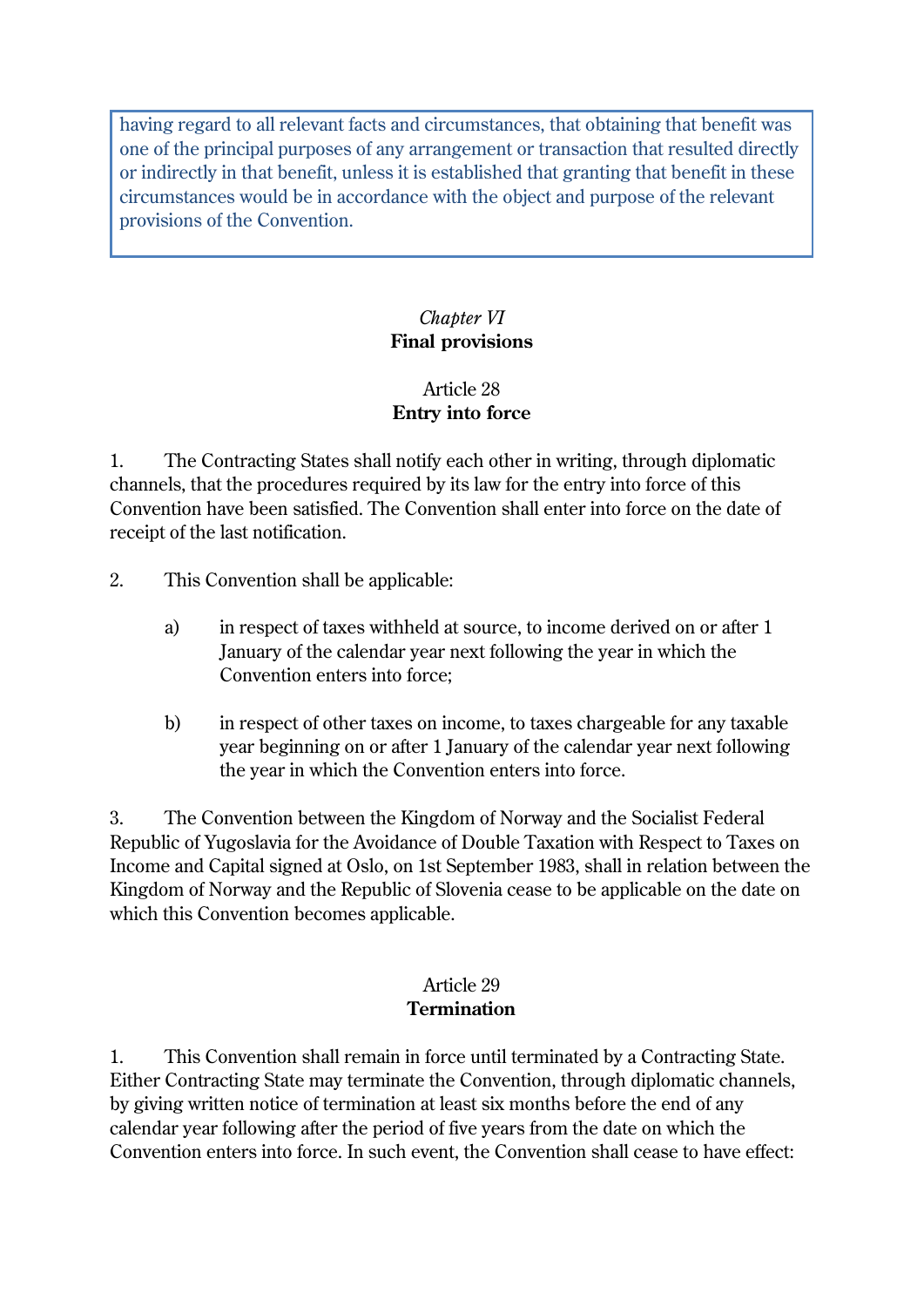having regard to all relevant facts and circumstances, that obtaining that benefit was one of the principal purposes of any arrangement or transaction that resulted directly or indirectly in that benefit, unless it is established that granting that benefit in these circumstances would be in accordance with the object and purpose of the relevant provisions of the Convention.

# *Chapter VI* **Final provisions**

# Article 28 **Entry into force**

1. The Contracting States shall notify each other in writing, through diplomatic channels, that the procedures required by its law for the entry into force of this Convention have been satisfied. The Convention shall enter into force on the date of receipt of the last notification.

2. This Convention shall be applicable:

- a) in respect of taxes withheld at source, to income derived on or after 1 January of the calendar year next following the year in which the Convention enters into force;
- b) in respect of other taxes on income, to taxes chargeable for any taxable year beginning on or after 1 January of the calendar year next following the year in which the Convention enters into force.

3. The Convention between the Kingdom of Norway and the Socialist Federal Republic of Yugoslavia for the Avoidance of Double Taxation with Respect to Taxes on Income and Capital signed at Oslo, on 1st September 1983, shall in relation between the Kingdom of Norway and the Republic of Slovenia cease to be applicable on the date on which this Convention becomes applicable.

#### Article 29 **Termination**

1. This Convention shall remain in force until terminated by a Contracting State. Either Contracting State may terminate the Convention, through diplomatic channels, by giving written notice of termination at least six months before the end of any calendar year following after the period of five years from the date on which the Convention enters into force. In such event, the Convention shall cease to have effect: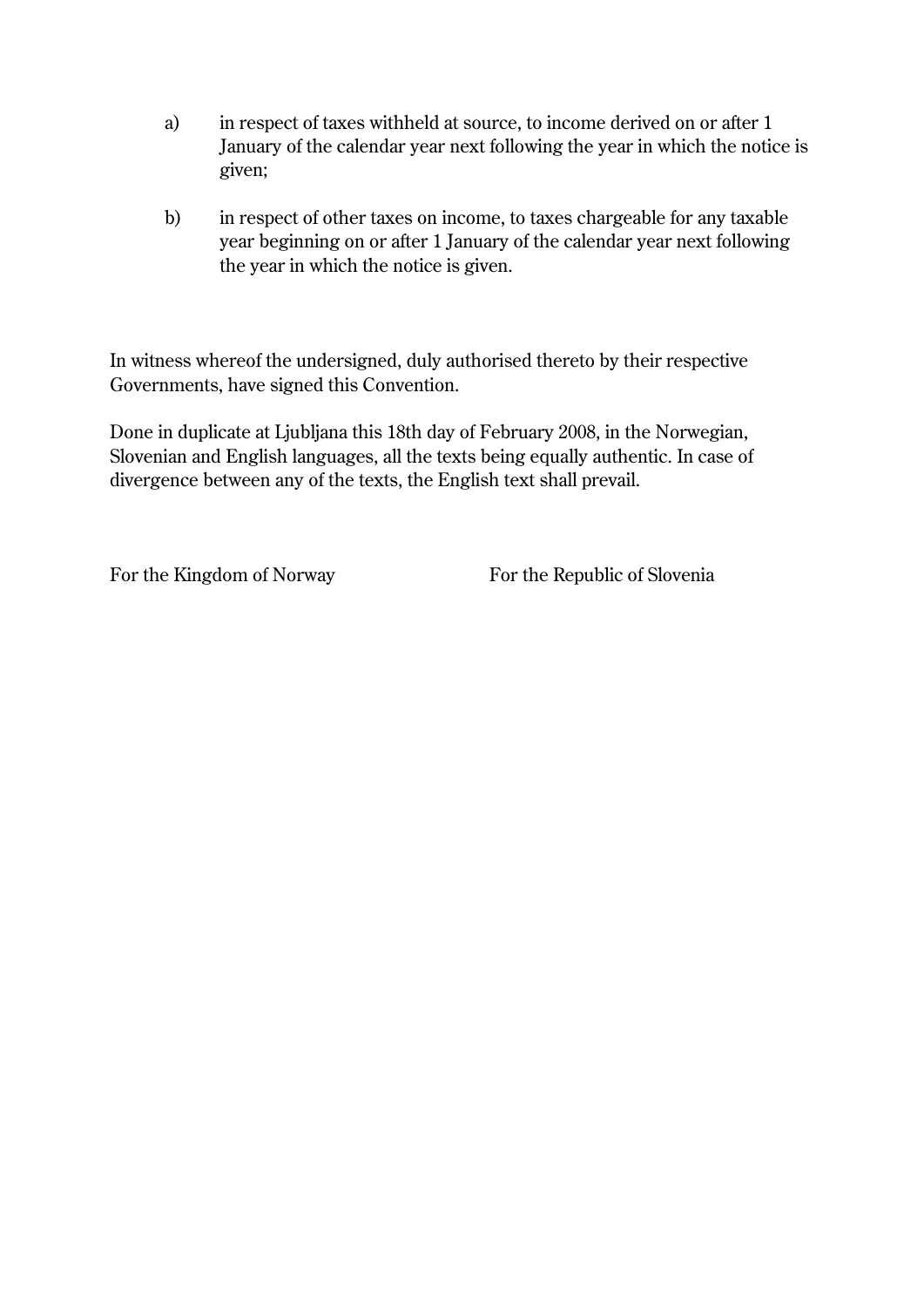- a) in respect of taxes withheld at source, to income derived on or after 1 January of the calendar year next following the year in which the notice is given;
- b) in respect of other taxes on income, to taxes chargeable for any taxable year beginning on or after 1 January of the calendar year next following the year in which the notice is given.

In witness whereof the undersigned, duly authorised thereto by their respective Governments, have signed this Convention.

Done in duplicate at Ljubljana this 18th day of February 2008, in the Norwegian, Slovenian and English languages, all the texts being equally authentic. In case of divergence between any of the texts, the English text shall prevail.

For the Kingdom of Norway For the Republic of Slovenia